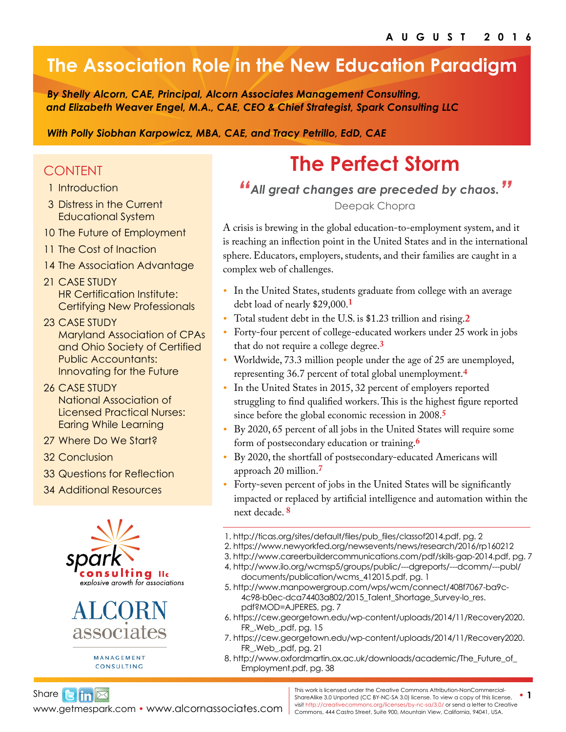## **The Association Role in the New Education Paradigm**

*By Shelly Alcorn, CAE, Principal, Alcorn Associates Management Consulting, and Elizabeth Weaver Engel, M.A., CAE, CEO & Chief Strategist, Spark Consulting LLC* 

*With Polly Siobhan Karpowicz, MBA, CAE, and Tracy Petrillo, EdD, CAE*

### CONTENT

- 1 Introduction
- [3](#page-2-0) Distress in the Current Educational System
- 10 [The Future of Employment](#page-9-0)
- 11 [The Cost of Inaction](#page-10-0)
- 14 [The Association Advantage](#page-13-0)
- 21 [CASE STUDY](#page-20-0)  [HR Certification Institute:](#page-20-0)  [Certifying New Professionals](#page-20-0)
- 23 [CASE STUDY](#page-22-0)  [Maryland Association of CPAs](#page-22-0)  [and Ohio Society of Certified](#page-22-0)  [Public Accountants:](#page-22-0)  [Innovating for the Future](#page-22-0)
- 26 [CASE STUDY](#page-25-0) [National Association of](#page-25-0)  [Licensed Practical Nurses:](#page-25-0)  [Earing While Learning](#page-25-0)
- 27 [Where Do We Start?](#page-26-0)
- 32 [Conclusion](#page-31-0)
- 33 [Questions for Reflection](#page-32-0)
- 34 [Additional Resources](#page-33-0)





MANAGEMENT CONSULTING

# **The Perfect Storm**

*"All great changes are preceded by chaos."*

Deepak Chopra

A crisis is brewing in the global education-to-employment system, and it is reaching an inflection point in the United States and in the international sphere. Educators, employers, students, and their families are caught in a complex web of challenges.

- *•* In the United States, students graduate from college with an average debt load of nearly \$29,000.**[1](http://ticas.org/sites/default/files/pub_files/classof2014.pdf)**
- *•* Total student debt in the U.S. is \$1.23 trillion and rising.**[2](https://www.newyorkfed.org/newsevents/news/research/2016/rp160212)**
- *•* Forty-four percent of college-educated workers under 25 work in jobs that do not require a college degree.**[3](http://www.careerbuildercommunications.com/pdf/skills-gap-2014.pdf)**
- *•* Worldwide, 73.3 million people under the age of 25 are unemployed, representing 36.7 percent of total global unemployment.**[4](http://www.ilo.org/wcmsp5/groups/public/---dgreports/---dcomm/---publ/documents/publication/wcms_412015.pdf)**
- *•* In the United States in 2015, 32 percent of employers reported struggling to find qualified workers. This is the highest figure reported since before the global economic recession in 2008.**[5](http://www.manpowergroup.com/wps/wcm/connect/408f7067-ba9c-4c98-b0ec-dca74403a802/2015_Talent_Shortage_Survey-lo_res.pdf?MOD=AJPERES)**
- *•* By 2020, 65 percent of all jobs in the United States will require some form of postsecondary education or training.**[6](https://cew.georgetown.edu/wp-content/uploads/2014/11/Recovery2020.FR_.Web_.pdf)**
- By 2020, the shortfall of postsecondary-educated Americans will approach 20 million.**[7](https://cew.georgetown.edu/wp-content/uploads/2014/11/Recovery2020.FR_.Web_.pdf)**
- *•* Forty-seven percent of jobs in the United States will be significantly impacted or replaced by artificial intelligence and automation within the next decade. **[8](http://www.oxfordmartin.ox.ac.uk/downloads/academic/The_Future_of_Employment.pdf)**

- 2.<https://www.newyorkfed.org/newsevents/news/research/2016/rp160212>
	- 3.<http://www.careerbuildercommunications.com/pdf/skills-gap-2014.pdf>, pg. 7
	- 4. [http://www.ilo.org/wcmsp5/groups/public/---dgreports/---dcomm/---publ/](http://www.ilo.org/wcmsp5/groups/public/---dgreports/---dcomm/---publ/documents/publication/wcms_412015.pdf) [documents/publication/wcms\\_412015.pdf,](http://www.ilo.org/wcmsp5/groups/public/---dgreports/---dcomm/---publ/documents/publication/wcms_412015.pdf) pg. 1
- 5[. http://www.manpowergroup.com/wps/wcm/connect/408f7067-ba9c-](http://www.manpowergroup.com/wps/wcm/connect/408f7067-ba9c-4c98-b0ec-dca74403a802/2015_Talent_Shortage_Survey-lo_res.pdf?MOD=AJPERES)[4c98-b0ec-dca74403a802/2015\\_Talent\\_Shortage\\_Survey-lo\\_res.](http://www.manpowergroup.com/wps/wcm/connect/408f7067-ba9c-4c98-b0ec-dca74403a802/2015_Talent_Shortage_Survey-lo_res.pdf?MOD=AJPERES) [pdf?MOD=AJPERES,](http://www.manpowergroup.com/wps/wcm/connect/408f7067-ba9c-4c98-b0ec-dca74403a802/2015_Talent_Shortage_Survey-lo_res.pdf?MOD=AJPERES) pg. 7
- 6. [https://cew.georgetown.edu/wp-content/uploads/2014/11/Recovery2020.](https://cew.georgetown.edu/wp-content/uploads/2014/11/Recovery2020.FR_.Web_.pdf) [FR\\_.Web\\_.pdf](https://cew.georgetown.edu/wp-content/uploads/2014/11/Recovery2020.FR_.Web_.pdf), pg. 15
- 7. [https://cew.georgetown.edu/wp-content/uploads/2014/11/Recovery2020.](https://cew.georgetown.edu/wp-content/uploads/2014/11/Recovery2020.FR_.Web_.pdf) [FR\\_.Web\\_.pdf](https://cew.georgetown.edu/wp-content/uploads/2014/11/Recovery2020.FR_.Web_.pdf), pg. 21
- 8. [http://www.oxfordmartin.ox.ac.uk/downloads/academic/The\\_Future\\_of\\_](http://www.oxfordmartin.ox.ac.uk/downloads/academic/The_Future_of_Employment.pdf) [Employment.pdf,](http://www.oxfordmartin.ox.ac.uk/downloads/academic/The_Future_of_Employment.pdf) pg. 38

[www.getmespark.com](http://www.getmespark.com) • [www.alcornassociates.com](http://www.alcornassociates.com) | commons, 444 Castro Street, Suite 900, Mountain View, California, 94041, USA. Share $\Box$   $\Box$ 

This work is licensed under the Creative Commons Attribution-NonCommercial-<br>ShareAlike 3.0 Unported (CC BY-NC-SA 3.0) license. To view a copy of this license, visit <http://creativecommons.org/licenses/by-nc-sa/3.0/> or send a letter to Creative

<sup>1.</sup> [http://ticas.org/sites/default/files/pub\\_files/classof2014.pdf](http://ticas.org/sites/default/files/pub_files/classof2014.pdf), pg. 2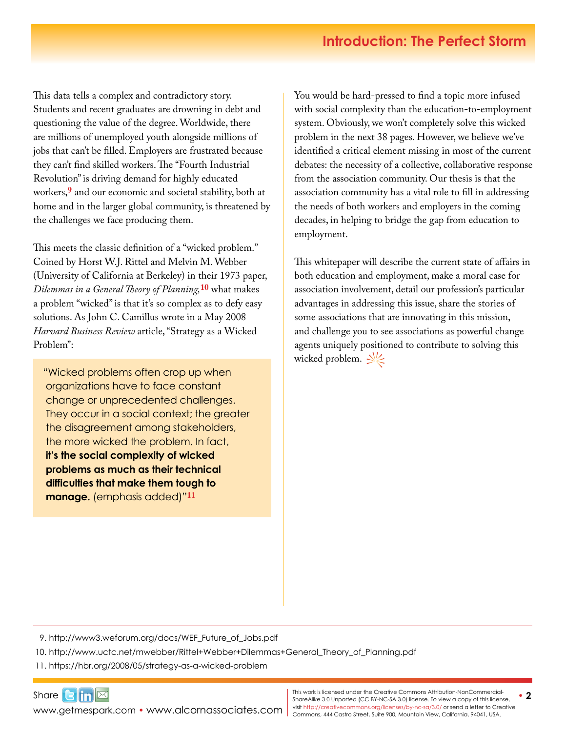This data tells a complex and contradictory story. Students and recent graduates are drowning in debt and questioning the value of the degree. Worldwide, there are millions of unemployed youth alongside millions of jobs that can't be filled. Employers are frustrated because they can't find skilled workers. The "Fourth Industrial Revolution" is driving demand for highly educated workers,**[9](http://www3.weforum.org/docs/WEF_Future_of_Jobs.pdf)** and our economic and societal stability, both at home and in the larger global community, is threatened by the challenges we face producing them.

This meets the classic definition of a "wicked problem." Coined by Horst W.J. Rittel and Melvin M. Webber (University of California at Berkeley) in their 1973 paper, *Dilemmas in a General Theory of Planning,***[10](http://www.uctc.net/mwebber/Rittel+Webber+Dilemmas+General_Theory_of_Planning.pdf)** what makes a problem "wicked" is that it's so complex as to defy easy solutions. As John C. Camillus wrote in a May 2008 *Harvard Business Review* article, "Strategy as a Wicked Problem":

"Wicked problems often crop up when organizations have to face constant change or unprecedented challenges. They occur in a social context; the greater the disagreement among stakeholders, the more wicked the problem. In fact, **it's the social complexity of wicked problems as much as their technical difficulties that make them tough to manage.** (emphasis added)"**[11](https://hbr.org/2008/05/strategy-as-a-wicked-problem)**

You would be hard-pressed to find a topic more infused with social complexity than the education-to-employment system. Obviously, we won't completely solve this wicked problem in the next 38 pages. However, we believe we've identified a critical element missing in most of the current debates: the necessity of a collective, collaborative response from the association community. Our thesis is that the association community has a vital role to fill in addressing the needs of both workers and employers in the coming decades, in helping to bridge the gap from education to employment.

This whitepaper will describe the current state of affairs in both education and employment, make a moral case for association involvement, detail our profession's particular advantages in addressing this issue, share the stories of some associations that are innovating in this mission, and challenge you to see associations as powerful change agents uniquely positioned to contribute to solving this wicked problem.  $\frac{1}{2}$ 

9. [http://www3.weforum.org/docs/WEF\\_Future\\_of\\_Jobs.pdf](http://www3.weforum.org/docs/WEF_Future_of_Jobs.pdf)

10. [http://www.uctc.net/mwebber/Rittel+Webber+Dilemmas+General\\_Theory\\_of\\_Planning.pdf](http://www.uctc.net/mwebber/Rittel+Webber+Dilemmas+General_Theory_of_Planning.pdf)

11. <https://hbr.org/2008/05/strategy-as-a-wicked-problem>

Share $\mathbf{G}$  in  $\mathbb{Z}$ [www.getmespark.com](http://www.getmespark.com) • [www.alcornassociates.com](http://www.alcornassociates.com)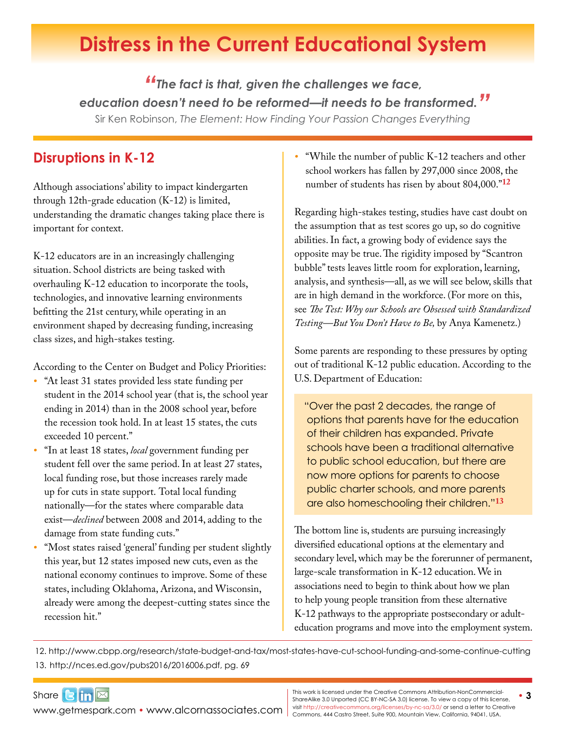# <span id="page-2-0"></span>**Distress in the Current Educational System**

*"The fact is that, given the challenges we face, education doesn't need to be reformed—it needs to be transformed."* Sir Ken Robinson, *The Element: How Finding Your Passion Changes Everything*

### **Disruptions in K-12**

Although associations' ability to impact kindergarten through 12th-grade education (K-12) is limited, understanding the dramatic changes taking place there is important for context.

K-12 educators are in an increasingly challenging situation. School districts are being tasked with overhauling K-12 education to incorporate the tools, technologies, and innovative learning environments befitting the 21st century, while operating in an environment shaped by decreasing funding, increasing class sizes, and high-stakes testing.

According to the Center on Budget and Policy Priorities:

- *•* "At least 31 states provided less state funding per student in the 2014 school year (that is, the school year ending in 2014) than in the 2008 school year, before the recession took hold. In at least 15 states, the cuts exceeded 10 percent."
- *•* "In at least 18 states, *local* government funding per student fell over the same period. In at least 27 states, local funding rose, but those increases rarely made up for cuts in state support. Total local funding nationally—for the states where comparable data exist—*declined* between 2008 and 2014, adding to the damage from state funding cuts."
- *•* "Most states raised 'general' funding per student slightly this year, but 12 states imposed new cuts, even as the national economy continues to improve. Some of these states, including Oklahoma, Arizona, and Wisconsin, already were among the deepest-cutting states since the recession hit."

*•* "While the number of public K-12 teachers and other school workers has fallen by 297,000 since 2008, the number of students has risen by about 804,000."**[12]((http://www.cbpp.org/research/state-budget-and-tax/most-states-have-cut-school-funding-and-some-continue-cutting)**

Regarding high-stakes testing, studies have cast doubt on the assumption that as test scores go up, so do cognitive abilities. In fact, a growing body of evidence says the opposite may be true. The rigidity imposed by "Scantron bubble" tests leaves little room for exploration, learning, analysis, and synthesis—all, as we will see below, skills that are in high demand in the workforce. (For more on this, see *The Test: Why our Schools are Obsessed with Standardized Testing—But You Don't Have to Be,* by Anya Kamenetz.)

Some parents are responding to these pressures by opting out of traditional K-12 public education. According to the U.S. Department of Education:

"Over the past 2 decades, the range of options that parents have for the education of their children has expanded. Private schools have been a traditional alternative to public school education, but there are now more options for parents to choose public charter schools, and more parents are also homeschooling their children."**[13](http://nces.ed.gov/pubs2016/2016006.pdf)**

The bottom line is, students are pursuing increasingly diversified educational options at the elementary and secondary level, which may be the forerunner of permanent, large-scale transformation in K-12 education. We in associations need to begin to think about how we plan to help young people transition from these alternative K-12 pathways to the appropriate postsecondary or adulteducation programs and move into the employment system.

12. <http://www.cbpp.org/research/state-budget-and-tax/most-states-have-cut-school-funding-and-some-continue-cutting> 13. <http://nces.ed.gov/pubs2016/2016006.pdf>, pg. 69

Share**Bin** 

WWW.getmespark.com • [www.alcornassociates.com](http://www.alcornassociates.com) | visit http://creativecommons.org/licenses/by-nc-sa/3.0/ or send a letter to Cre<br>Commons, 444 Castro Street, Suite 900, Mountain View, California, 94041, USA. • **3** This work is licensed under the Creative Commons Attribution-NonCommercial-ShareAlike 3.0 Unported (CC BY-NC-SA 3.0) license. To view a copy of this license, visit<http://creativecommons.org/licenses/by-nc-sa/3.0/> or send a letter to Creative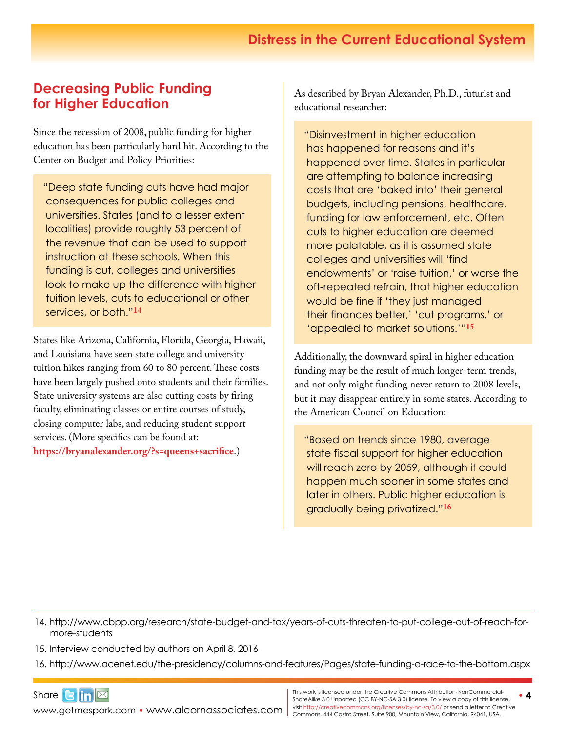#### **Distress in the Current Educational System**

#### **Decreasing Public Funding for Higher Education**

Since the recession of 2008, public funding for higher education has been particularly hard hit. According to the Center on Budget and Policy Priorities:

"Deep state funding cuts have had major consequences for public colleges and universities. States (and to a lesser extent localities) provide roughly 53 percent of the revenue that can be used to support instruction at these schools. When this funding is cut, colleges and universities look to make up the difference with higher tuition levels, cuts to educational or other services, or both."**[14](http://www.cbpp.org/research/state-budget-and-tax/years-of-cuts-threaten-to-put-college-out-of-reach-for-more-students)**

States like Arizona, California, Florida, Georgia, Hawaii, and Louisiana have seen state college and university tuition hikes ranging from 60 to 80 percent. These costs have been largely pushed onto students and their families. State university systems are also cutting costs by firing faculty, eliminating classes or entire courses of study, closing computer labs, and reducing student support services. (More specifics can be found at: **<https://bryanalexander.org/?s=queens+sacrifice>**.)

As described by Bryan Alexander, Ph.D., futurist and educational researcher:

"Disinvestment in higher education has happened for reasons and it's happened over time. States in particular are attempting to balance increasing costs that are 'baked into' their general budgets, including pensions, healthcare, funding for law enforcement, etc. Often cuts to higher education are deemed more palatable, as it is assumed state colleges and universities will 'find endowments' or 'raise tuition,' or worse the oft-repeated refrain, that higher education would be fine if 'they just managed their finances better,' 'cut programs,' or 'appealed to market solutions.'"**15**

Additionally, the downward spiral in higher education funding may be the result of much longer-term trends, and not only might funding never return to 2008 levels, but it may disappear entirely in some states. According to the American Council on Education:

"Based on trends since 1980, average state fiscal support for higher education will reach zero by 2059, although it could happen much sooner in some states and later in others. Public higher education is gradually being privatized."**[16](http://www.acenet.edu/the-presidency/columns-and-features/Pages/state-funding-a-race-to-the-bottom.aspx)**

14. [http://www.cbpp.org/research/state-budget-and-tax/years-of-cuts-threaten-to-put-college-out-of-reach-for](http://www.cbpp.org/research/state-budget-and-tax/years-of-cuts-threaten-to-put-college-out-of-reach-for-more-students)[more-students](http://www.cbpp.org/research/state-budget-and-tax/years-of-cuts-threaten-to-put-college-out-of-reach-for-more-students)

15. Interview conducted by authors on April 8, 2016

16.<http://www.acenet.edu/the-presidency/columns-and-features/Pages/state-funding-a-race-to-the-bottom.aspx>

Share**Bin** WWW.getmespark.com • [www.alcornassociates.com](http://www.alcornassociates.com) | visit http://creativecommons.org/licenses/by-nc-sa/3.0/ or send a letter to Cre<br>Commons, 444 Castro Street, Suite 900, Mountain View, California, 94041, USA.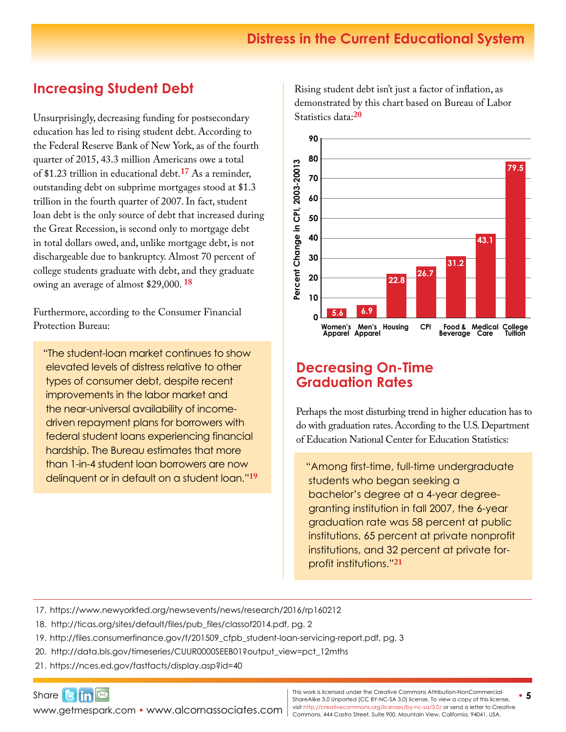#### **Distress in the Current Educational System**

### **Increasing Student Debt**

Unsurprisingly, decreasing funding for postsecondary education has led to rising student debt. According to the Federal Reserve Bank of New York, as of the fourth quarter of 2015, 43.3 million Americans owe a total of \$1.23 trillion in educational debt.**[17](https://www.newyorkfed.org/newsevents/news/research/2016/rp160212)** As a reminder, outstanding debt on subprime mortgages stood at \$1.3 trillion in the fourth quarter of 2007. In fact, student loan debt is the only source of debt that increased during the Great Recession, is second only to mortgage debt in total dollars owed, and, unlike mortgage debt, is not dischargeable due to bankruptcy. Almost 70 percent of college students graduate with debt, and they graduate owing an average of almost \$29,000. **[18](http://ticas.org/sites/default/files/pub_files/classof2014.pdf)**

Furthermore, according to the Consumer Financial Protection Bureau:

"The student-loan market continues to show elevated levels of distress relative to other types of consumer debt, despite recent improvements in the labor market and the near-universal availability of incomedriven repayment plans for borrowers with federal student loans experiencing financial hardship. The Bureau estimates that more than 1-in-4 student loan borrowers are now delinquent or in default on a student loan."**[19](http://files.consumerfinance.gov/f/201509_cfpb_student-loan-servicing-report.pdf)** Rising student debt isn't just a factor of inflation, as demonstrated by this chart based on Bureau of Labor Statistics data:**[20](http://data.bls.gov/timeseries/CUUR0000SEEB01?output_view=pct_12mths)**



#### **Decreasing On-Time Graduation Rates**

Perhaps the most disturbing trend in higher education has to do with graduation rates. According to the U.S. Department of Education National Center for Education Statistics:

"Among first-time, full-time undergraduate students who began seeking a bachelor's degree at a 4-year degreegranting institution in fall 2007, the 6-year graduation rate was 58 percent at public institutions, 65 percent at private nonprofit institutions, and 32 percent at private forprofit institutions."**[21](https://nces.ed.gov/fastfacts/display.asp?id=40)**

- 17. <https://www.newyorkfed.org/newsevents/news/research/2016/rp160212>
- 18. [http://ticas.org/sites/default/files/pub\\_files/classof2014.pdf,](http://ticas.org/sites/default/files/pub_files/classof2014.pdf) pg. 2
- 19. [http://files.consumerfinance.gov/f/201509\\_cfpb\\_student-loan-servicing-report.pdf,](http://files.consumerfinance.gov/f/201509_cfpb_student-loan-servicing-report.pdf) pg. 3
- 20. [http://data.bls.gov/timeseries/CUUR0000SEEB01?output\\_view=pct\\_12mths](http://data.bls.gov/timeseries/CUUR0000SEEB01?output_view=pct_12mths)
- 21. <https://nces.ed.gov/fastfacts/display.asp?id=40>

Share $\mathbf{G}$  in  $\mathbb{Z}$ [www.getmespark.com](http://www.getmespark.com) • [www.alcornassociates.com](http://www.alcornassociates.com)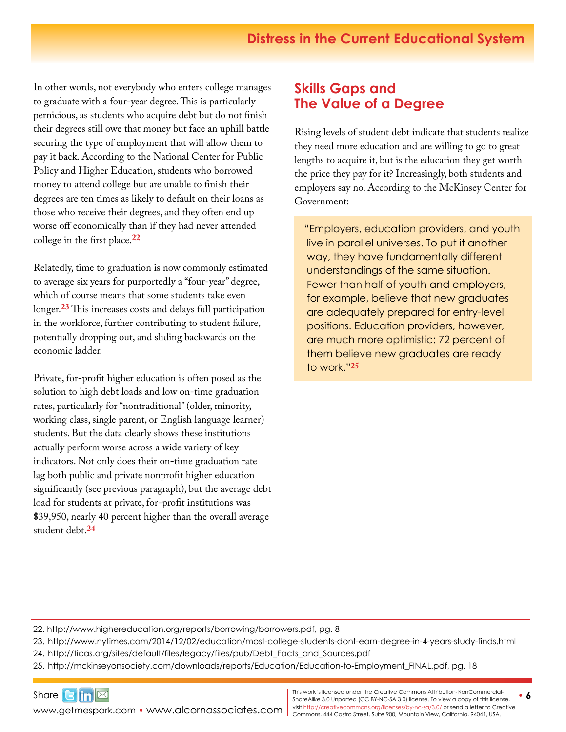In other words, not everybody who enters college manages to graduate with a four-year degree. This is particularly pernicious, as students who acquire debt but do not finish their degrees still owe that money but face an uphill battle securing the type of employment that will allow them to pay it back. According to the National Center for Public Policy and Higher Education, students who borrowed money to attend college but are unable to finish their degrees are ten times as likely to default on their loans as those who receive their degrees, and they often end up worse off economically than if they had never attended college in the first place.**[2](http://www.highereducation.org/reports/borrowing/borrowers.pdf)2**

Relatedly, time to graduation is now commonly estimated to average six years for purportedly a "four-year" degree, which of course means that some students take even longer.**[23](http://www.nytimes.com/2014/12/02/education/most-college-students-dont-earn-degree-in-4-years-study-finds.html)** This increases costs and delays full participation in the workforce, further contributing to student failure, potentially dropping out, and sliding backwards on the economic ladder.

Private, for-profit higher education is often posed as the solution to high debt loads and low on-time graduation rates, particularly for "nontraditional" (older, minority, working class, single parent, or English language learner) students. But the data clearly shows these institutions actually perform worse across a wide variety of key indicators. Not only does their on-time graduation rate lag both public and private nonprofit higher education significantly (see previous paragraph), but the average debt load for students at private, for-profit institutions was \$39,950, nearly 40 percent higher than the overall average student debt.**[24](http://ticas.org/sites/default/files/legacy/files/pub/Debt_Facts_and_Sources.pdf)**

#### **Skills Gaps and The Value of a Degree**

Rising levels of student debt indicate that students realize they need more education and are willing to go to great lengths to acquire it, but is the education they get worth the price they pay for it? Increasingly, both students and employers say no. According to the McKinsey Center for Government:

"Employers, education providers, and youth live in parallel universes. To put it another way, they have fundamentally different understandings of the same situation. Fewer than half of youth and employers, for example, believe that new graduates are adequately prepared for entry-level positions. Education providers, however, are much more optimistic: 72 percent of them believe new graduates are ready to work."**[25](http://mckinseyonsociety.com/downloads/reports/Education/Education-to-Employment_FINAL.pdf)**

22. <http://www.highereducation.org/reports/borrowing/borrowers.pdf>, pg. 8

23. <http://www.nytimes.com/2014/12/02/education/most-college-students-dont-earn-degree-in-4-years-study-finds.html>

24. [http://ticas.org/sites/default/files/legacy/files/pub/Debt\\_Facts\\_and\\_Sources.pdf](http://ticas.org/sites/default/files/legacy/files/pub/Debt_Facts_and_Sources.pdf)

25. [http://mckinseyonsociety.com/downloads/reports/Education/Education-to-Employment\\_FINAL.pdf](http://mckinseyonsociety.com/downloads/reports/Education/Education-to-Employment_FINAL.pdf), pg. 18

Share $\mathbf{G}$  in  $\mathbb{Z}$ WWW.getmespark.com • [www.alcornassociates.com](http://www.alcornassociates.com) | visit http://creativecommons.org/licenses/by-nc-sa/3.0/ or send a letter to Cre<br>Commons, 444 Castro Street, Suite 900, Mountain View, California, 94041, USA.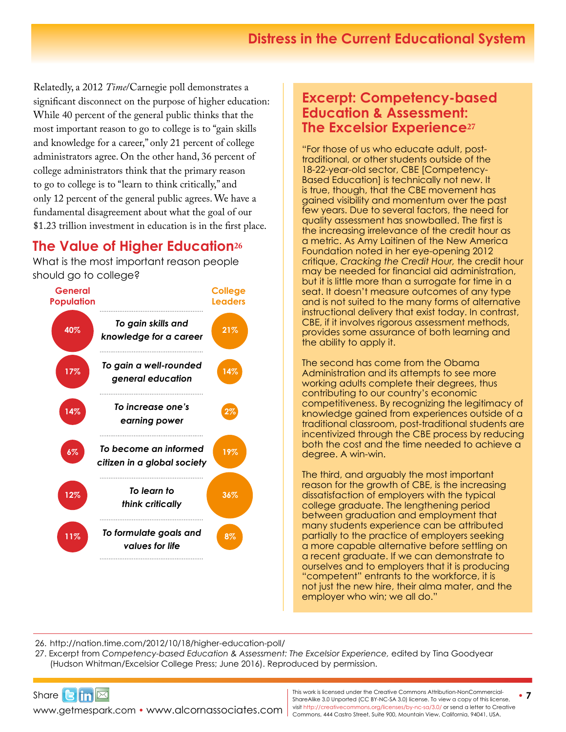Relatedly, a 2012 *Time*/Carnegie poll demonstrates a significant disconnect on the purpose of higher education: While 40 percent of the general public thinks that the most important reason to go to college is to "gain skills and knowledge for a career," only 21 percent of college administrators agree. On the other hand, 36 percent of college administrators think that the primary reason to go to college is to "learn to think critically," and only 12 percent of the general public agrees. We have a fundamental disagreement about what the goal of our \$1.23 trillion investment in education is in the first place.

### **The Value of Higher Education[26](http://nation.time.com/2012/10/18/higher-education-poll/)**

What is the most important reason people should go to college?



#### **Excerpt: Competency-based Education & Assessment: The Excelsior Experience<sup>27</sup>**

"For those of us who educate adult, posttraditional, or other students outside of the 18-22-year-old sector, CBE [Competency-Based Education] is technically not new. It is true, though, that the CBE movement has gained visibility and momentum over the past few years. Due to several factors, the need for quality assessment has snowballed. The first is the increasing irrelevance of the credit hour as a metric. As Amy Laitinen of the New America Foundation noted in her eye-opening 2012 critique, *Cracking the Credit Hour,* the credit hour may be needed for financial aid administration, but it is little more than a surrogate for time in a seat. It doesn't measure outcomes of any type and is not suited to the many forms of alternative instructional delivery that exist today. In contrast, CBE, if it involves rigorous assessment methods, provides some assurance of both learning and the ability to apply it.

The second has come from the Obama Administration and its attempts to see more working adults complete their degrees, thus contributing to our country's economic competitiveness. By recognizing the legitimacy of knowledge gained from experiences outside of a traditional classroom, post-traditional students are incentivized through the CBE process by reducing both the cost and the time needed to achieve a degree. A win-win.

The third, and arguably the most important reason for the growth of CBE, is the increasing dissatisfaction of employers with the typical college graduate. The lengthening period between graduation and employment that many students experience can be attributed partially to the practice of employers seeking a more capable alternative before settling on a recent graduate. If we can demonstrate to ourselves and to employers that it is producing "competent" entrants to the workforce, it is not just the new hire, their alma mater, and the employer who win; we all do."

26. <http://nation.time.com/2012/10/18/higher-education-poll/>

27. Excerpt from *Competency-based Education & Assessment: The Excelsior Experience,* edited by Tina Goodyear (Hudson Whitman/Excelsior College Press; June 2016). Reproduced by permission.



WWW.getmespark.com • [www.alcornassociates.com](http://www.alcornassociates.com) | visit http://creativecommons.org/licenses/by-nc-sa/3.0/ or send a letter to Cre<br>Commons, 444 Castro Street, Suite 900, Mountain View, California, 94041, USA.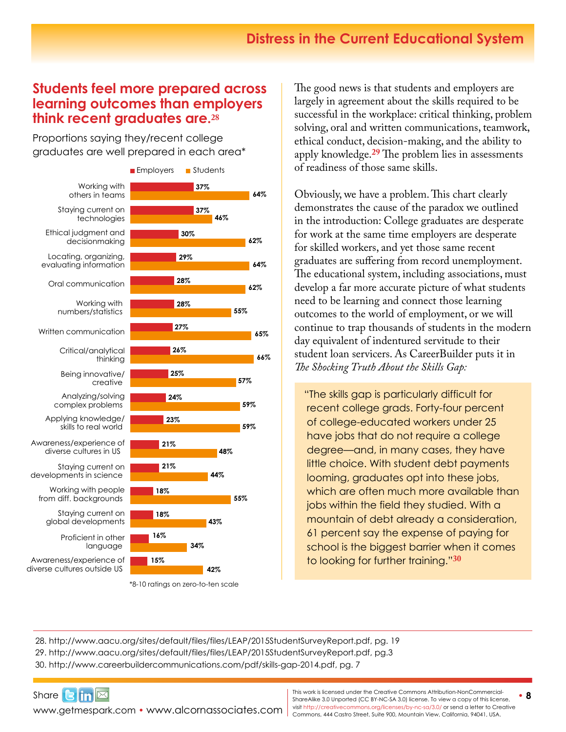#### **Students feel more prepared across learning outcomes than em[p](http://www.aacu.org/sites/default/files/files/LEAP/2015StudentSurveyReport.pdf)loyers [th](http://www.aacu.org/sites/default/files/files/LEAP/2015StudentSurveyReport.pdf)ink recent graduates are.[28](http://www.aacu.org/sites/default/files/files/LEAP/2015StudentSurveyReport.pdf)**

Proportions saying they/recent college graduates are well prepared in each area\*



<sup>\*8-10</sup> ratings on zero-to-ten scale

The good news is that students and employers are largely in agreement about the skills required to be successful in the workplace: critical thinking, problem solving, oral and written communications, teamwork, ethical conduct, decision-making, and the ability to apply knowledge.**[29](http://www.aacu.org/sites/default/files/files/LEAP/2015StudentSurveyReport.pdf)** The problem lies in assessments of readiness of those same skills.

Obviously, we have a problem. This chart clearly demonstrates the cause of the paradox we outlined in the introduction: College graduates are desperate for work at the same time employers are desperate for skilled workers, and yet those same recent graduates are suffering from record unemployment. The educational system, including associations, must develop a far more accurate picture of what students need to be learning and connect those learning outcomes to the world of employment, or we will continue to trap thousands of students in the modern day equivalent of indentured servitude to their student loan servicers. As CareerBuilder puts it in *The Shocking Truth About the Skills Gap:* 

"The skills gap is particularly difficult for recent college grads. Forty-four percent of college-educated workers under 25 have jobs that do not require a college degree—and, in many cases, they have little choice. With student debt payments looming, graduates opt into these jobs, which are often much more available than jobs within the field they studied. With a mountain of debt already a consideration, 61 percent say the expense of paying for school is the biggest barrier when it comes to looking for further training."**[30](http://www.careerbuildercommunications.com/pdf/skills-gap-2014.pdf)**

28. <http://www.aacu.org/sites/default/files/files/LEAP/2015StudentSurveyReport.pdf>, pg. 19 29. <http://www.aacu.org/sites/default/files/files/LEAP/2015StudentSurveyReport.pdf>, pg.3 30. [http://www.careerbuildercommunications.com/pdf/skills-gap-2014.pdf,](http://www.careerbuildercommunications.com/pdf/skills-gap-2014.pdf) pg. 7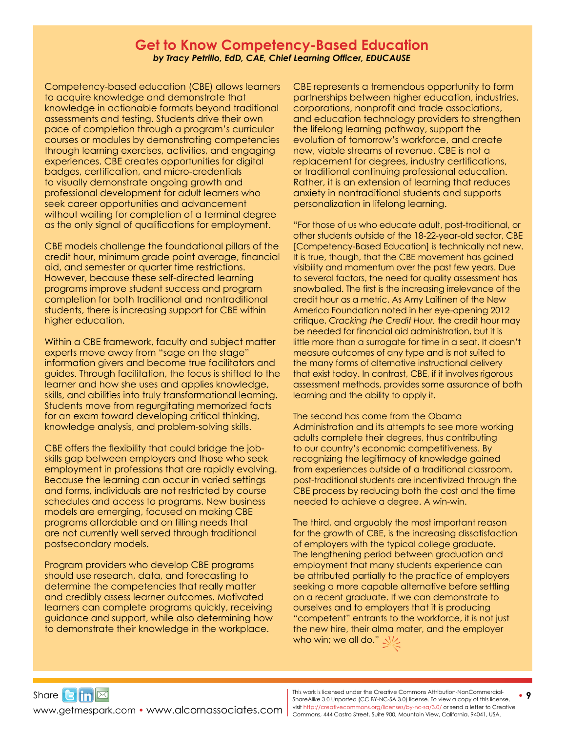#### **Get to Know Competency-Based Education** *by Tracy Petrillo, EdD, CAE, Chief Learning Officer, EDUCAUSE*

Competency-based education (CBE) allows learners to acquire knowledge and demonstrate that knowledge in actionable formats beyond traditional assessments and testing. Students drive their own pace of completion through a program's curricular courses or modules by demonstrating competencies through learning exercises, activities, and engaging experiences. CBE creates opportunities for digital badges, certification, and micro-credentials to visually demonstrate ongoing growth and professional development for adult learners who seek career opportunities and advancement without waiting for completion of a terminal degree as the only signal of qualifications for employment.

CBE models challenge the foundational pillars of the credit hour, minimum grade point average, financial aid, and semester or quarter time restrictions. However, because these self-directed learning programs improve student success and program completion for both traditional and nontraditional students, there is increasing support for CBE within higher education.

Within a CBE framework, faculty and subject matter experts move away from "sage on the stage" information givers and become true facilitators and guides. Through facilitation, the focus is shifted to the learner and how she uses and applies knowledge, skills, and abilities into truly transformational learning. Students move from regurgitating memorized facts for an exam toward developing critical thinking, knowledge analysis, and problem-solving skills.

CBE offers the flexibility that could bridge the jobskills gap between employers and those who seek employment in professions that are rapidly evolving. Because the learning can occur in varied settings and forms, individuals are not restricted by course schedules and access to programs. New business models are emerging, focused on making CBE programs affordable and on filling needs that are not currently well served through traditional postsecondary models.

Program providers who develop CBE programs should use research, data, and forecasting to determine the competencies that really matter and credibly assess learner outcomes. Motivated learners can complete programs quickly, receiving guidance and support, while also determining how to demonstrate their knowledge in the workplace.

CBE represents a tremendous opportunity to form partnerships between higher education, industries, corporations, nonprofit and trade associations, and education technology providers to strengthen the lifelong learning pathway, support the evolution of tomorrow's workforce, and create new, viable streams of revenue. CBE is not a replacement for degrees, industry certifications, or traditional continuing professional education. Rather, it is an extension of learning that reduces anxiety in nontraditional students and supports personalization in lifelong learning.

"For those of us who educate adult, post-traditional, or other students outside of the 18-22-year-old sector, CBE [Competency-Based Education] is technically not new. It is true, though, that the CBE movement has gained visibility and momentum over the past few years. Due to several factors, the need for quality assessment has snowballed. The first is the increasing irrelevance of the credit hour as a metric. As Amy Laitinen of the New America Foundation noted in her eye-opening 2012 critique, *Cracking the Credit Hour,* the credit hour may be needed for financial aid administration, but it is little more than a surrogate for time in a seat. It doesn't measure outcomes of any type and is not suited to the many forms of alternative instructional delivery that exist today. In contrast, CBE, if it involves rigorous assessment methods, provides some assurance of both learning and the ability to apply it.

The second has come from the Obama Administration and its attempts to see more working adults complete their degrees, thus contributing to our country's economic competitiveness. By recognizing the legitimacy of knowledge gained from experiences outside of a traditional classroom, post-traditional students are incentivized through the CBE process by reducing both the cost and the time needed to achieve a degree. A win-win.

The third, and arguably the most important reason for the growth of CBE, is the increasing dissatisfaction of employers with the typical college graduate. The lengthening period between graduation and employment that many students experience can be attributed partially to the practice of employers seeking a more capable alternative before settling on a recent graduate. If we can demonstrate to ourselves and to employers that it is producing "competent" entrants to the workforce, it is not just the new hire, their alma mater, and the employer who win; we all do."  $N$ 

Share $3 \sin \infty$ 

WWW.getmespark.com • [www.alcornassociates.com](http://www.alcornassociates.com) | visit http://creativecommons.org/licenses/by-nc-sa/3.0/ or send a letter to Cre<br>Commons, 444 Castro Street, Suite 900, Mountain View, California, 94041, USA. **This work is licensed under the Creative Commons Attribution-NonCommercial-**<br>
• 9 ShareAlike 3.0 Unported (CC BY-NC-SA 3.0) license. To view a copy of this license, visit<http://creativecommons.org/licenses/by-nc-sa/3.0/> or send a letter to Creative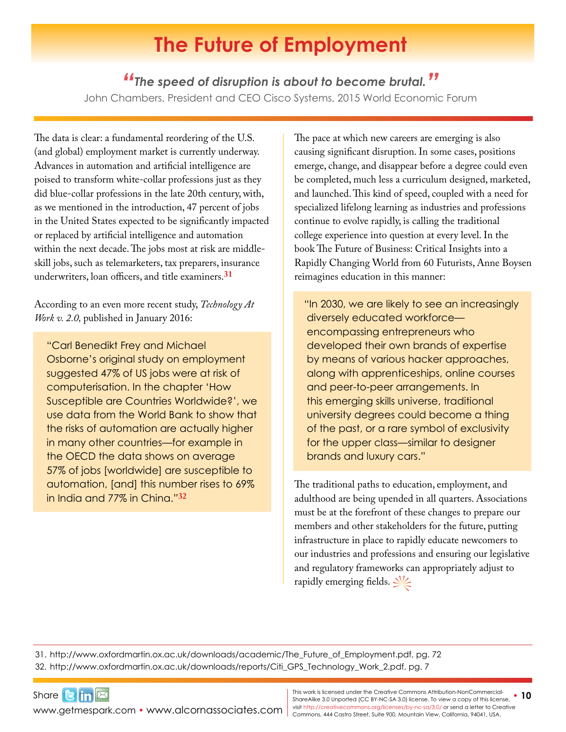# **The Future of Employment**

#### *"The speed of disruption is about to become brutal."*

<span id="page-9-0"></span>John Chambers, President and CEO Cisco Systems, 2015 World Economic Forum

The data is clear: a fundamental reordering of the U.S. (and global) employment market is currently underway. Advances in automation and artificial intelligence are poised to transform white-collar professions just as they did blue-collar professions in the late 20th century, with, as we mentioned in the introduction, 47 percent of jobs in the United States expected to be significantly impacted or replaced by artificial intelligence and automation within the next decade. The jobs most at risk are middleskill jobs, such as telemarketers, tax preparers, insurance underwriters, loan officers, and title examiners.**[31](http://www.oxfordmartin.ox.ac.uk/downloads/academic/The_Future_of_Employment.pdf)**

According to an even more recent study, *Technology At Work v. 2.0,* published in January 2016:

 "Carl Benedikt Frey and Michael Osborne's original study on employment suggested 47% of US jobs were at risk of computerisation. In the chapter 'How Susceptible are Countries Worldwide?', we use data from the World Bank to show that the risks of automation are actually higher in many other countries—for example in the OECD the data shows on average 57% of jobs [worldwide] are susceptible to automation, [and] this number rises to 69% in India and 77% in China."**[3](http://www.oxfordmartin.ox.ac.uk/downloads/reports/Citi_GPS_Technology_Work_2.pdf)2**

The pace at which new careers are emerging is also causing significant disruption. In some cases, positions emerge, change, and disappear before a degree could even be completed, much less a curriculum designed, marketed, and launched. This kind of speed, coupled with a need for specialized lifelong learning as industries and professions continue to evolve rapidly, is calling the traditional college experience into question at every level. In the book The Future of Business: Critical Insights into a Rapidly Changing World from 60 Futurists, Anne Boysen reimagines education in this manner:

"In 2030, we are likely to see an increasingly diversely educated workforce encompassing entrepreneurs who developed their own brands of expertise by means of various hacker approaches, along with apprenticeships, online courses and peer-to-peer arrangements. In this emerging skills universe, traditional university degrees could become a thing of the past, or a rare symbol of exclusivity for the upper class—similar to designer brands and luxury cars."

The traditional paths to education, employment, and adulthood are being upended in all quarters. Associations must be at the forefront of these changes to prepare our members and other stakeholders for the future, putting infrastructure in place to rapidly educate newcomers to our industries and professions and ensuring our legislative and regulatory frameworks can appropriately adjust to rapidly emerging fields.  $\frac{1}{2}$ 

31. [http://www.oxfordmartin.ox.ac.uk/downloads/academic/The\\_Future\\_of\\_Employment.pdf](http://www.oxfordmartin.ox.ac.uk/downloads/academic/The_Future_of_Employment.pdf), pg. 72 32. [http://www.oxfordmartin.ox.ac.uk/downloads/reports/Citi\\_GPS\\_Technology\\_Work\\_2.pdf](http://www.oxfordmartin.ox.ac.uk/downloads/reports/Citi_GPS_Technology_Work_2.pdf), pg. 7

Share $\mathbf{G}$  in  $\mathbb{Z}$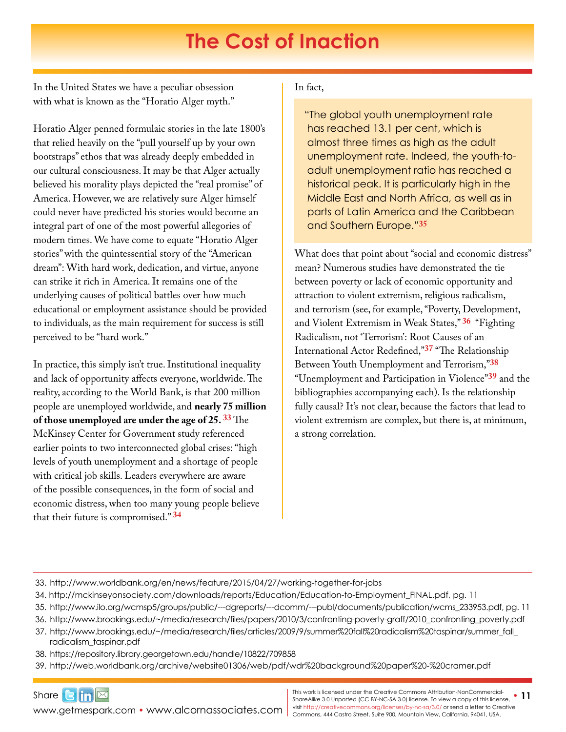## **The Cost of Inaction**

<span id="page-10-0"></span>In the United States we have a peculiar obsession with what is known as the "Horatio Alger myth."

Horatio Alger penned formulaic stories in the late 1800's that relied heavily on the "pull yourself up by your own bootstraps" ethos that was already deeply embedded in our cultural consciousness. It may be that Alger actually believed his morality plays depicted the "real promise" of America. However, we are relatively sure Alger himself could never have predicted his stories would become an integral part of one of the most powerful allegories of modern times. We have come to equate "Horatio Alger stories" with the quintessential story of the "American dream": With hard work, dedication, and virtue, anyone can strike it rich in America. It remains one of the underlying causes of political battles over how much educational or employment assistance should be provided to individuals, as the main requirement for success is still perceived to be "hard work."

In practice, this simply isn't true. Institutional inequality and lack of opportunity affects everyone, worldwide. The reality, according to the World Bank, is that 200 million people are unemployed worldwide, and **nearly 75 million of those unemployed are under the age of 25. [33](http://www.worldbank.org/en/news/feature/2015/04/27/working-together-for-jobs)** The McKinsey Center for Government study referenced earlier points to two interconnected global crises: "high levels of youth unemployment and a shortage of people with critical job skills. Leaders everywhere are aware of the possible consequences, in the form of social and economic distress, when too many young people believe that their future is compromised." **[34](http://mckinseyonsociety.com/downloads/reports/Education/Education-to-Employment_FINAL.pdf)**

#### In fact,

"The global youth unemployment rate has reached 13.1 per cent, which is almost three times as high as the adult unemployment rate. Indeed, the youth-toadult unemployment ratio has reached a historical peak. It is particularly high in the Middle East and North Africa, as well as in parts of Latin America and the Caribbean and Southern Europe."**[35](http://www.ilo.org/wcmsp5/groups/public/---dgreports/---dcomm/---publ/documents/publication/wcms_233953.pdf)**

What does that point about "social and economic distress" mean? Numerous studies have demonstrated the tie between poverty or lack of economic opportunity and attraction to violent extremism, religious radicalism, and terrorism (see, for example, "Poverty, Development, and Violent Extremism in Weak States," **[36](http://www.brookings.edu/~/media/research/files/papers/2010/3/confronting-poverty-graff/2010_confronting_poverty.pdf)** "Fighting Radicalism, not 'Terrorism': Root Causes of an International Actor Redefined,"**[37](http://www.brookings.edu/~/media/research/files/articles/2009/9/summer%20fall%20radicalism%20taspinar/summer_fall_radicalism_taspinar.pdf)** "The Relationship Between Youth Unemployment and Terrorism,"**[38](https://repository.library.georgetown.edu/handle/10822/709858)** "Unemployment and Participation in Violence"**[39](http://web.worldbank.org/archive/website01306/web/pdf/wdr%20background%20paper%20-%20cramer.pdf)** and the bibliographies accompanying each). Is the relationship fully causal? It's not clear, because the factors that lead to violent extremism are complex, but there is, at minimum, a strong correlation.

33. <http://www.worldbank.org/en/news/feature/2015/04/27/working-together-for-jobs>

34. [http://mckinseyonsociety.com/downloads/reports/Education/Education-to-Employment\\_FINAL.pdf](http://mckinseyonsociety.com/downloads/reports/Education/Education-to-Employment_FINAL.pdf), pg. 11

35. [http://www.ilo.org/wcmsp5/groups/public/---dgreports/---dcomm/---publ/documents/publication/wcms\\_233953.pdf,](http://www.ilo.org/wcmsp5/groups/public/---dgreports/---dcomm/---publ/documents/publication/wcms_233953.pdf) pg. 11

36. [http://www.brookings.edu/~/media/research/files/papers/2010/3/confronting-poverty-graff/2010\\_confronting\\_poverty.pdf](http://www.brookings.edu/~/media/research/files/papers/2010/3/confronting-poverty-graff/2010_confronting_poverty.pdf)

- 37. [http://www.brookings.edu/~/media/research/files/articles/2009/9/summer%20fall%20radicalism%20taspinar/summer\\_fall\\_](http://www.brookings.edu/~/media/research/files/articles/2009/9/summer%20fall%20radicalism%20taspinar/summer_fall_radicalism_taspinar.pdf) [radicalism\\_taspinar.pdf](http://www.brookings.edu/~/media/research/files/articles/2009/9/summer%20fall%20radicalism%20taspinar/summer_fall_radicalism_taspinar.pdf)
- 38. <https://repository.library.georgetown.edu/handle/10822/709858>

39. <http://web.worldbank.org/archive/website01306/web/pdf/wdr%20background%20paper%20-%20cramer.pdf>

Share $\mathbf{G}$  in  $\mathbb{Z}$ [www.getmespark.com](http://www.getmespark.com) • [www.alcornassociates.com](http://www.alcornassociates.com)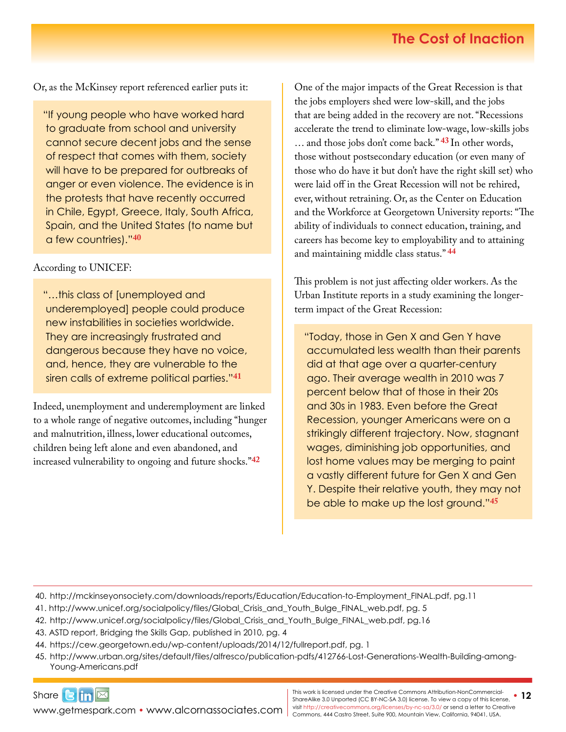Or, as the McKinsey report referenced earlier puts it:

"If young people who have worked hard to graduate from school and university cannot secure decent jobs and the sense of respect that comes with them, society will have to be prepared for outbreaks of anger or even violence. The evidence is in the protests that have recently occurred in Chile, Egypt, Greece, Italy, South Africa, Spain, and the United States (to name but a few countries)."**40**

According to UNICEF:

"…this class of [unemployed and underemployed] people could produce new instabilities in societies worldwide. They are increasingly frustrated and dangerous because they have no voice, and, hence, they are vulnerable to the siren calls of extreme political parties."**41**

Indeed, unemployment and underemployment are linked to a whole range of negative outcomes, including "hunger and malnutrition, illness, lower educational outcomes, children being left alone and even abandoned, and increased vulnerability to ongoing and future shocks."**[42](http://www.unicef.org/socialpolicy/files/Global_Crisis_and_Youth_Bulge_FINAL_web.pdf)**

One of the major impacts of the Great Recession is that the jobs employers shed were low-skill, and the jobs that are being added in the recovery are not. "Recessions accelerate the trend to eliminate low-wage, low-skills jobs … and those jobs don't come back." **43** In other words, those without postsecondary education (or even many of those who do have it but don't have the right skill set) who were laid off in the Great Recession will not be rehired, ever, without retraining. Or, as the Center on Education and the Workforce at Georgetown University reports: "The ability of individuals to connect education, training, and careers has become key to employability and to attaining and maintaining middle class status." **[44](https://cew.georgetown.edu/wp-content/uploads/2014/12/fullreport.pdf)**

This problem is not just affecting older workers. As the Urban Institute reports in a study examining the longerterm impact of the Great Recession:

"Today, those in Gen X and Gen Y have accumulated less wealth than their parents did at that age over a quarter-century ago. Their average wealth in 2010 was 7 percent below that of those in their 20s and 30s in 1983. Even before the Great Recession, younger Americans were on a strikingly different trajectory. Now, stagnant wages, diminishing job opportunities, and lost home values may be merging to paint a vastly different future for Gen X and Gen Y. Despite their relative youth, they may not be able to make up the lost ground."**[45](http://www.urban.org/sites/default/files/alfresco/publication-pdfs/412766-Lost-Generations-Wealth-Building-among-Young-Americans.PDF)**

40. [http://mckinseyonsociety.com/downloads/reports/Education/Education-to-Employment\\_FINAL.pdf](http://mckinseyonsociety.com/downloads/reports/Education/Education-to-Employment_FINAL.pdf), pg.11

- 41. [http://www.unicef.org/socialpolicy/files/Global\\_Crisis\\_and\\_Youth\\_Bulge\\_FINAL\\_web.pdf,](http://www.unicef.org/socialpolicy/files/Global_Crisis_and_Youth_Bulge_FINAL_web.pdf) pg. 5
- 42. [http://www.unicef.org/socialpolicy/files/Global\\_Crisis\\_and\\_Youth\\_Bulge\\_FINAL\\_web.pdf,](http://www.unicef.org/socialpolicy/files/Global_Crisis_and_Youth_Bulge_FINAL_web.pdf) pg.16
- 43. ASTD report, Bridging the Skills Gap, published in 2010, pg. 4
- 44. <https://cew.georgetown.edu/wp-content/uploads/2014/12/fullreport.pdf>, pg. 1
- 45. [http://www.urban.org/sites/default/files/alfresco/publication-pdfs/412766-Lost-Generations-Wealth-Building-among-](http://www.urban.org/sites/default/files/alfresco/publication-pdfs/412766-Lost-Generations-Wealth-Building-among-Young-Americans.PDF)[Young-Americans.](http://www.urban.org/sites/default/files/alfresco/publication-pdfs/412766-Lost-Generations-Wealth-Building-among-Young-Americans.PDF)pdf

[www.getmespark.com](http://www.getmespark.com) • [www.alcornassociates.com](http://www.alcornassociates.com)

Share $\Box$   $\Box$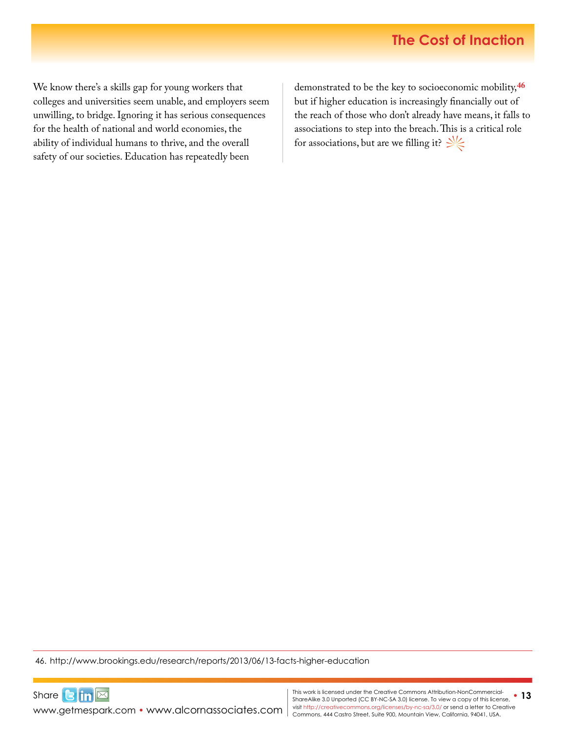We know there's a skills gap for young workers that colleges and universities seem unable, and employers seem unwilling, to bridge. Ignoring it has serious consequences for the health of national and world economies, the ability of individual humans to thrive, and the overall safety of our societies. Education has repeatedly been

demonstrated to be the key to socioeconomic mobility,**[46](http://www.brookings.edu/research/reports/2013/06/13-facts-higher-education)** but if higher education is increasingly financially out of the reach of those who don't already have means, it falls to associations to step into the breach. This is a critical role for associations, but are we filling it?  $\frac{1}{2}$ 

46. <http://www.brookings.edu/research/reports/2013/06/13-facts-higher-education>

[www.getmespark.com](http://www.getmespark.com) • [www.alcornassociates.com](http://www.alcornassociates.com)

Share $\text{G}$  in  $\boxtimes$ 

This work is licensed under the Creative Commons Attribution-NonCommercial-**400 (new the State)**<br>ShareAlike 3.0 Unported (CC BY-NC-SA 3.0) license. To view a copy of this license, **13** visit<http://creativecommons.org/licenses/by-nc-sa/3.0/> or send a letter to Creative Commons, 444 Castro Street, Suite 900, Mountain View, California, 94041, USA.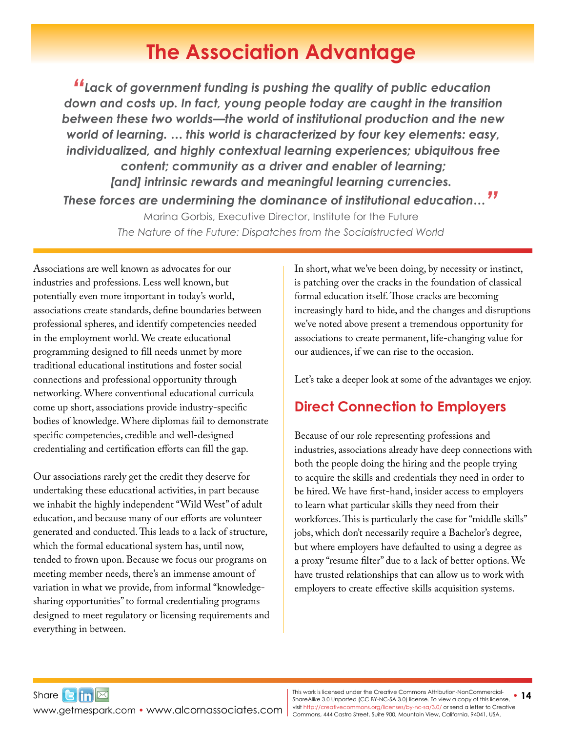### **The Association Advantage**

<span id="page-13-0"></span>*"Lack of government funding is pushing the quality of public education down and costs up. In fact, young people today are caught in the transition between these two worlds—the world of institutional production and the new world of learning. … this world is characterized by four key elements: easy, individualized, and highly contextual learning experiences; ubiquitous free content; community as a driver and enabler of learning; [and] intrinsic rewards and meaningful learning currencies. These forces are undermining the dominance of institutional education…"*

> Marina Gorbis, Executive Director, Institute for the Future *The Nature of the Future: Dispatches from the Socialstructed World*

Associations are well known as advocates for our industries and professions. Less well known, but potentially even more important in today's world, associations create standards, define boundaries between professional spheres, and identify competencies needed in the employment world. We create educational programming designed to fill needs unmet by more traditional educational institutions and foster social connections and professional opportunity through networking. Where conventional educational curricula come up short, associations provide industry-specific bodies of knowledge. Where diplomas fail to demonstrate specific competencies, credible and well-designed credentialing and certification efforts can fill the gap.

Our associations rarely get the credit they deserve for undertaking these educational activities, in part because we inhabit the highly independent "Wild West" of adult education, and because many of our efforts are volunteer generated and conducted. This leads to a lack of structure, which the formal educational system has, until now, tended to frown upon. Because we focus our programs on meeting member needs, there's an immense amount of variation in what we provide, from informal "knowledgesharing opportunities" to formal credentialing programs designed to meet regulatory or licensing requirements and everything in between.

In short, what we've been doing, by necessity or instinct, is patching over the cracks in the foundation of classical formal education itself. Those cracks are becoming increasingly hard to hide, and the changes and disruptions we've noted above present a tremendous opportunity for associations to create permanent, life-changing value for our audiences, if we can rise to the occasion.

Let's take a deeper look at some of the advantages we enjoy.

### **Direct Connection to Employers**

Because of our role representing professions and industries, associations already have deep connections with both the people doing the hiring and the people trying to acquire the skills and credentials they need in order to be hired. We have first-hand, insider access to employers to learn what particular skills they need from their workforces. This is particularly the case for "middle skills" jobs, which don't necessarily require a Bachelor's degree, but where employers have defaulted to using a degree as a proxy "resume filter" due to a lack of better options. We have trusted relationships that can allow us to work with employers to create effective skills acquisition systems.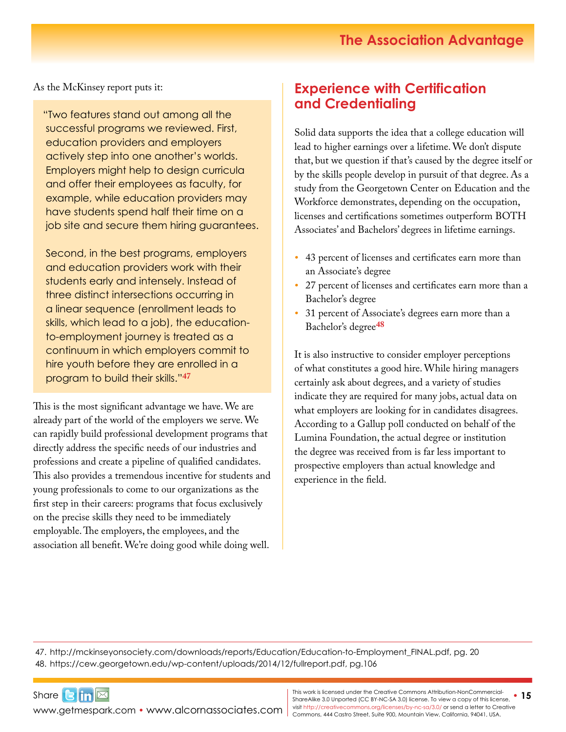### **The Association Advantage**

As the McKinsey report puts it:

"Two features stand out among all the successful programs we reviewed. First, education providers and employers actively step into one another's worlds. Employers might help to design curricula and offer their employees as faculty, for example, while education providers may have students spend half their time on a job site and secure them hiring guarantees.

Second, in the best programs, employers and education providers work with their students early and intensely. Instead of three distinct intersections occurring in a linear sequence (enrollment leads to skills, which lead to a job), the educationto-employment journey is treated as a continuum in which employers commit to hire youth before they are enrolled in a program to build their skills."**[47](http://mckinseyonsociety.com/downloads/reports/Education/Education-to-Employment_FINAL.pdf)**

This is the most significant advantage we have. We are already part of the world of the employers we serve. We can rapidly build professional development programs that directly address the specific needs of our industries and professions and create a pipeline of qualified candidates. This also provides a tremendous incentive for students and young professionals to come to our organizations as the first step in their careers: programs that focus exclusively on the precise skills they need to be immediately employable. The employers, the employees, and the association all benefit. We're doing good while doing well.

#### **Experience with Certification and Credentialing**

Solid data supports the idea that a college education will lead to higher earnings over a lifetime. We don't dispute that, but we question if that's caused by the degree itself or by the skills people develop in pursuit of that degree. As a study from the Georgetown Center on Education and the Workforce demonstrates, depending on the occupation, licenses and certifications sometimes outperform BOTH Associates' and Bachelors' degrees in lifetime earnings.

- *•* 43 percent of licenses and certificates earn more than an Associate's degree
- *•* 27 percent of licenses and certificates earn more than a Bachelor's degree
- *•* 31 percent of Associate's degrees earn more than a Bachelor's degree**[4](https://cew.georgetown.edu/wp-content/uploads/2014/12/fullreport.pdf)8**

It is also instructive to consider employer perceptions of what constitutes a good hire. While hiring managers certainly ask about degrees, and a variety of studies indicate they are required for many jobs, actual data on what employers are looking for in candidates disagrees. According to a Gallup poll conducted on behalf of the Lumina Foundation, the actual degree or institution the degree was received from is far less important to prospective employers than actual knowledge and experience in the field.

47. [http://mckinseyonsociety.com/downloads/reports/Education/Education-to-Employment\\_FINAL.pdf](http://mckinseyonsociety.com/downloads/reports/Education/Education-to-Employment_FINAL.pdf), pg. 20 48. <https://cew.georgetown.edu/wp-content/uploads/2014/12/fullreport.pdf>, pg.106

Share**Bin** 

WWW.getmespark.com • [www.alcornassociates.com](http://www.alcornassociates.com) | visit http://creativecommons.org/licenses/by-nc-sa/3.0/ or send a letter to Cre<br>Commons, 444 Castro Street, Suite 900, Mountain View, California, 94041, USA. **This work is licensed under the Creative Commons Attribution-NonCommercial-**<br>Share Alike 3.0 Unported (CC BY NC \$A 3.0) license. To view a copy of this license. • 15 ShareAlike 3.0 Unported (CC BY-NC-SA 3.0) license. To view a copy of this license, visit<http://creativecommons.org/licenses/by-nc-sa/3.0/> or send a letter to Creative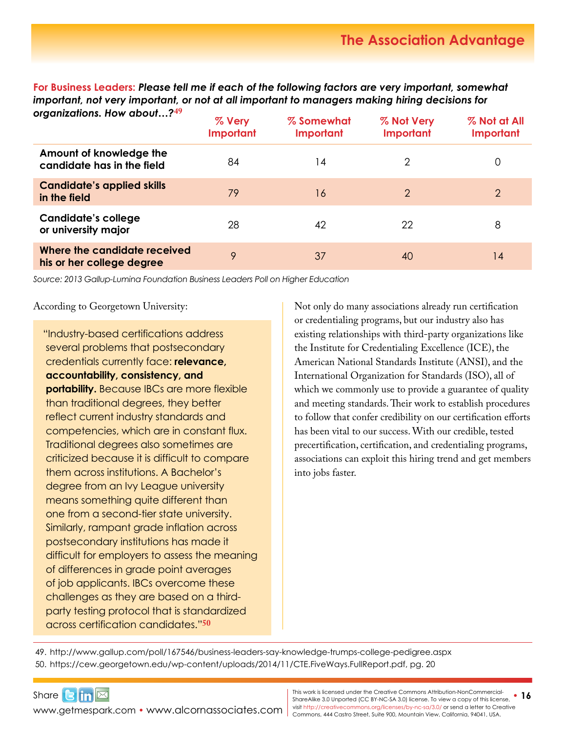**For Business Leaders:** *Please tell me if each of the following factors are very important, somewhat important, not very important, or not at all important to managers making hiring decisions for organizations. How about…?***[49](http://www.gallup.com/poll/167546/business-leaders-say-knowledge-trumps-college-pedigree.aspx)**

| organizanons. now apour… <i>! "</i>                       | % Very<br>Important | % Somewhat<br>Important | % Not Very<br>Important | % Not at All<br>Important |
|-----------------------------------------------------------|---------------------|-------------------------|-------------------------|---------------------------|
| Amount of knowledge the<br>candidate has in the field     | 84                  | 14                      | 2                       | 0                         |
| <b>Candidate's applied skills</b><br>in the field         | 79                  | 16                      | 2                       | 2                         |
| <b>Candidate's college</b><br>or university major         | 28                  | 42                      | 22                      | 8                         |
| Where the candidate received<br>his or her college degree | 9                   | 37                      | 40                      | 14                        |

*Source: 2013 Gallup-Lumina Foundation Business Leaders Poll on Higher Education*

According to Georgetown University:

"Industry-based certifications address several problems that postsecondary credentials currently face: **relevance, accountability, consistency, and portability.** Because IBCs are more flexible than traditional degrees, they better reflect current industry standards and competencies, which are in constant flux. Traditional degrees also sometimes are criticized because it is difficult to compare them across institutions. A Bachelor's degree from an Ivy League university means something quite different than one from a second-tier state university. Similarly, rampant grade inflation across postsecondary institutions has made it difficult for employers to assess the meaning of differences in grade point averages of job applicants. IBCs overcome these challenges as they are based on a thirdparty testing protocol that is standardized across certification candidates."**50**

Not only do many associations already run certification or credentialing programs, but our industry also has existing relationships with third-party organizations like the Institute for Credentialing Excellence (ICE), the American National Standards Institute (ANSI), and the International Organization for Standards (ISO), all of which we commonly use to provide a guarantee of quality and meeting standards. Their work to establish procedures to follow that confer credibility on our certification efforts has been vital to our success. With our credible, tested precertification, certification, and credentialing programs, associations can exploit this hiring trend and get members into jobs faster.

49. <http://www.gallup.com/poll/167546/business-leaders-say-knowledge-trumps-college-pedigree.aspx> 50. [https://cew.georgetown.edu/wp-content/uploads/2014/11/CTE.FiveWays.FullReport.pdf,](https://cew.georgetown.edu/wp-content/uploads/2014/11/CTE.FiveWays.FullReport.pdf) pg. 20

WWW.getmespark.com • [www.alcornassociates.com](http://www.alcornassociates.com) | visit http://creativecommons.org/licenses/by-nc-sa/3.0/ or send a letter to Cre<br>Commons, 444 Castro Street, Suite 900, Mountain View, California, 94041, USA.

Share $\frac{1}{2}$  $\frac{1}{2}$  $\frac{1}{2}$ 

This work is licensed under the Creative Commons Attribution-NonCommercial-**400 (new the State)**<br>ShareAlike 3.0 Unported (CC BY-NC-SA 3.0) license. To view a copy of this license, **16** visit<http://creativecommons.org/licenses/by-nc-sa/3.0/> or send a letter to Creative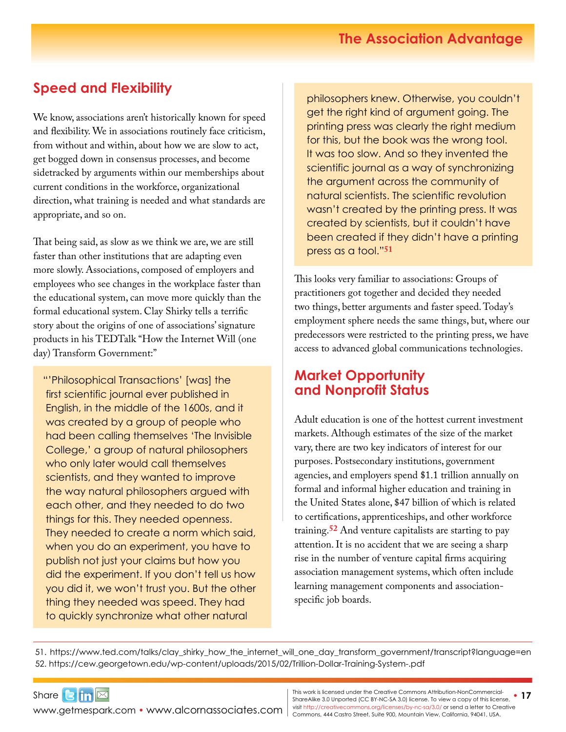### **Speed and Flexibility**

We know, associations aren't historically known for speed and flexibility. We in associations routinely face criticism, from without and within, about how we are slow to act, get bogged down in consensus processes, and become sidetracked by arguments within our memberships about current conditions in the workforce, organizational direction, what training is needed and what standards are appropriate, and so on.

That being said, as slow as we think we are, we are still faster than other institutions that are adapting even more slowly. Associations, composed of employers and employees who see changes in the workplace faster than the educational system, can move more quickly than the formal educational system. Clay Shirky tells a terrific story about the origins of one of associations' signature products in his TEDTalk "How the Internet Will (one day) Transform Government:"

"'Philosophical Transactions' [was] the first scientific journal ever published in English, in the middle of the 1600s, and it was created by a group of people who had been calling themselves 'The Invisible College,' a group of natural philosophers who only later would call themselves scientists, and they wanted to improve the way natural philosophers argued with each other, and they needed to do two things for this. They needed openness. They needed to create a norm which said, when you do an experiment, you have to publish not just your claims but how you did the experiment. If you don't tell us how you did it, we won't trust you. But the other thing they needed was speed. They had to quickly synchronize what other natural

philosophers knew. Otherwise, you couldn't get the right kind of argument going. The printing press was clearly the right medium for this, but the book was the wrong tool. It was too slow. And so they invented the scientific journal as a way of synchronizing the argument across the community of natural scientists. The scientific revolution wasn't created by the printing press. It was created by scientists, but it couldn't have been created if they didn't have a printing press as a tool."**51**

This looks very familiar to associations: Groups of practitioners got together and decided they needed two things, better arguments and faster speed. Today's employment sphere needs the same things, but, where our predecessors were restricted to the printing press, we have access to advanced global communications technologies.

#### **Market Opportunity and Nonprofit Status**

Adult education is one of the hottest current investment markets. Although estimates of the size of the market vary, there are two key indicators of interest for our purposes. Postsecondary institutions, government agencies, and employers spend \$1.1 trillion annually on formal and informal higher education and training in the United States alone, \$47 billion of which is related to certifications, apprenticeships, and other workforce training.**[52](https://cew.georgetown.edu/wp-content/uploads/2015/02/Trillion-Dollar-Training-System-.pdf)** And venture capitalists are starting to pay attention. It is no accident that we are seeing a sharp rise in the number of venture capital firms acquiring association management systems, which often include learning management components and associationspecific job boards.

51. [https://www.ted.com/talks/clay\\_shirky\\_how\\_the\\_internet\\_will\\_one\\_day\\_transform\\_government/transcript?language=en](https://www.ted.com/talks/clay_shirky_how_the_internet_will_one_day_transform_government/transcript?language=en) 52. <https://cew.georgetown.edu/wp-content/uploads/2015/02/Trillion-Dollar-Training-System-.pdf>

WWW.getmespark.com • [www.alcornassociates.com](http://www.alcornassociates.com) | visit http://creativecommons.org/licenses/by-nc-sa/3.0/ or send a letter to Cre<br>Commons, 444 Castro Street, Suite 900, Mountain View, California, 94041, USA.

Share**Bin**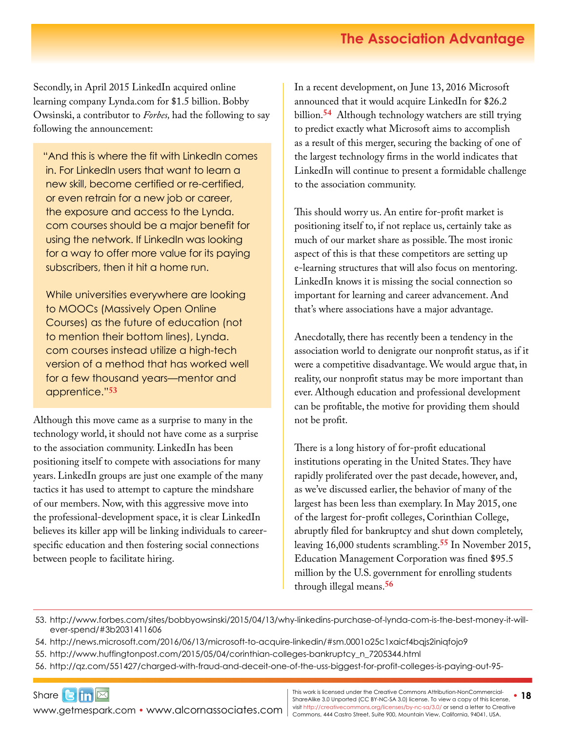### **The Association Advantage**

Secondly, in April 2015 LinkedIn acquired online learning company [Lynda.com](http://Lynda.com) for \$1.5 billion. Bobby Owsinski, a contributor to *Forbes,* had the following to say following the announcement:

"And this is where the fit with LinkedIn comes in. For LinkedIn users that want to learn a new skill, become certified or re-certified, or even retrain for a new job or career, the exposure and access to the [Lynda.](http://Lynda.com) [com](http://Lynda.com) courses should be a major benefit for using the network. If LinkedIn was looking for a way to offer more value for its paying subscribers, then it hit a home run.

While universities everywhere are looking to MOOCs (Massively Open Online Courses) as the future of education (not to mention their bottom lines), [Lynda.](http://Lynda.com) [com](http://Lynda.com) courses instead utilize a high-tech version of a method that has worked well for a few thousand years—mentor and apprentice."**[5](http://www.forbes.com/sites/bobbyowsinski/2015/04/13/why-linkedins-purchase-of-lynda-com-is-the-best-money-it-will-ever-spend/#3b2031411606)3** 

Although this move came as a surprise to many in the technology world, it should not have come as a surprise to the association community. LinkedIn has been positioning itself to compete with associations for many years. LinkedIn groups are just one example of the many tactics it has used to attempt to capture the mindshare of our members. Now, with this aggressive move into the professional-development space, it is clear LinkedIn believes its killer app will be linking individuals to careerspecific education and then fostering social connections between people to facilitate hiring.

In a recent development, on June 13, 2016 Microsoft announced that it would acquire LinkedIn for \$26.2 billion.**[5](http://news.microsoft.com/2016/06/13/microsoft-to-acquire-linkedin/#sm.0001o25c1xaicf4bqjs2iniqfojo9)4** Although technology watchers are still trying to predict exactly what Microsoft aims to accomplish as a result of this merger, securing the backing of one of the largest technology firms in the world indicates that LinkedIn will continue to present a formidable challenge to the association community.

This should worry us. An entire for-profit market is positioning itself to, if not replace us, certainly take as much of our market share as possible. The most ironic aspect of this is that these competitors are setting up e-learning structures that will also focus on mentoring. LinkedIn knows it is missing the social connection so important for learning and career advancement. And that's where associations have a major advantage.

Anecdotally, there has recently been a tendency in the association world to denigrate our nonprofit status, as if it were a competitive disadvantage. We would argue that, in reality, our nonprofit status may be more important than ever. Although education and professional development can be profitable, the motive for providing them should not be profit.

There is a long history of for-profit educational institutions operating in the United States. They have rapidly proliferated over the past decade, however, and, as we've discussed earlier, the behavior of many of the largest has been less than exemplary. In May 2015, one of the largest for-profit colleges, Corinthian College, abruptly filed for bankruptcy and shut down completely, leaving 16,000 students scrambling.**[55](http://www.huffingtonpost.com/2015/05/04/corinthian-colleges-bankruptcy_n_7205344.html)** In November 2015, Education Management Corporation was fined \$95.5 million by the U.S. government for enrolling students through illegal means.**[5](http://qz.com/551427/charged-with-fraud-and-deceit-one-of-the-uss-biggest-for-profit-colleges-is-paying-out-95-million/)6**

53. [http://www.forbes.com/sites/bobbyowsinski/2015/04/13/why-linkedins-purchase-of-lynda-com-is-the-best-money-it-will](http://www.forbes.com/sites/bobbyowsinski/2015/04/13/why-linkedins-purchase-of-lynda-com-is-the-best-money-it-will-ever-spend/#3b2031411606)[ever-spend/#3b2031411606](http://www.forbes.com/sites/bobbyowsinski/2015/04/13/why-linkedins-purchase-of-lynda-com-is-the-best-money-it-will-ever-spend/#3b2031411606)

- 54. <http://news.microsoft.com/2016/06/13/microsoft-to-acquire-linkedin/#sm.0001o25c1xaicf4bqjs2iniqfojo9>
- 55. [http://www.huffingtonpost.com/2015/05/04/corinthian-colleges-bankruptcy\\_n\\_7205344.html](http://www.huffingtonpost.com/2015/05/04/corinthian-colleges-bankruptcy_n_7205344.html)
- 56. [http://qz.com/551427/charged-with-fraud-and-deceit-one-of-the-uss-biggest-for-profit-colleges-is-paying-out-95-](http://qz.com/551427/charged-with-fraud-and-deceit-one-of-the-uss-biggest-for-profit-colleges-is-paying-out-95-million/)

Share $\mathbf{G}$  in  $\mathbb{Z}$ [www.getmespark.com](http://www.getmespark.com) • [www.alcornassociates.com](http://www.alcornassociates.com)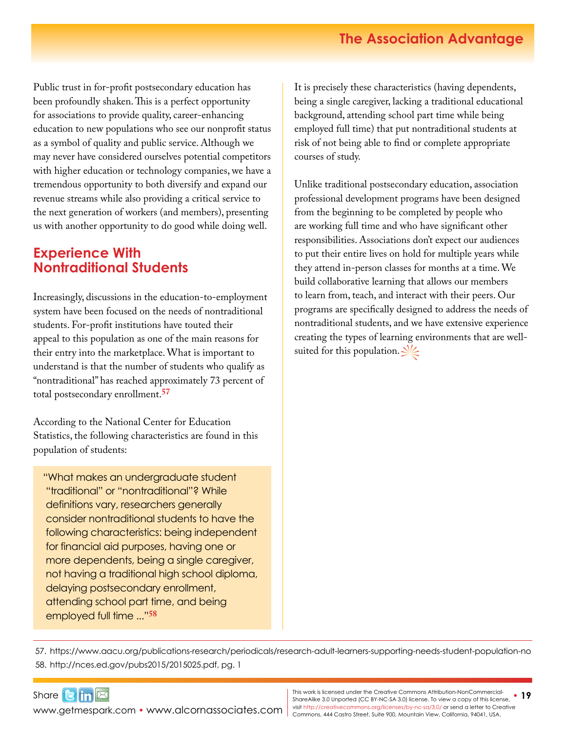Public trust in for-profit postsecondary education has been profoundly shaken. This is a perfect opportunity for associations to provide quality, career-enhancing education to new populations who see our nonprofit status as a symbol of quality and public service. Although we may never have considered ourselves potential competitors with higher education or technology companies, we have a tremendous opportunity to both diversify and expand our revenue streams while also providing a critical service to the next generation of workers (and members), presenting us with another opportunity to do good while doing well.

#### **Experience With Nontraditional Students**

Increasingly, discussions in the education-to-employment system have been focused on the needs of nontraditional students. For-profit institutions have touted their appeal to this population as one of the main reasons for their entry into the marketplace. What is important to understand is that the number of students who qualify as "nontraditional" has reached approximately 73 percent of total postsecondary enrollment.**[5](https://www.aacu.org/publications-research/periodicals/research-adult-learners-supporting-needs-student-population-no)7**

According to the National Center for Education Statistics, the following characteristics are found in this population of students:

"What makes an undergraduate student "traditional" or "nontraditional"? While definitions vary, researchers generally consider nontraditional students to have the following characteristics: being independent for financial aid purposes, having one or more dependents, being a single caregiver, not having a traditional high school diploma, delaying postsecondary enrollment, attending school part time, and being employed full time ..."**[5](http://nces.ed.gov/pubs2015/2015025.pdf)8**

It is precisely these characteristics (having dependents, being a single caregiver, lacking a traditional educational background, attending school part time while being employed full time) that put nontraditional students at risk of not being able to find or complete appropriate courses of study.

Unlike traditional postsecondary education, association professional development programs have been designed from the beginning to be completed by people who are working full time and who have significant other responsibilities. Associations don't expect our audiences to put their entire lives on hold for multiple years while they attend in-person classes for months at a time. We build collaborative learning that allows our members to learn from, teach, and interact with their peers. Our programs are specifically designed to address the needs of nontraditional students, and we have extensive experience creating the types of learning environments that are wellsuited for this population.  $\frac{1}{2}$ 

57. <https://www.aacu.org/publications-research/periodicals/research-adult-learners-supporting-needs-student-population-no> 58. [http://nces.ed.gov/pubs2015/2015025.pdf,](http://nces.ed.gov/pubs2015/2015025.pdf) pg. 1

Share $\mathbf{G}$  in  $\mathbb{Z}$ [www.getmespark.com](http://www.getmespark.com) • [www.alcornassociates.com](http://www.alcornassociates.com)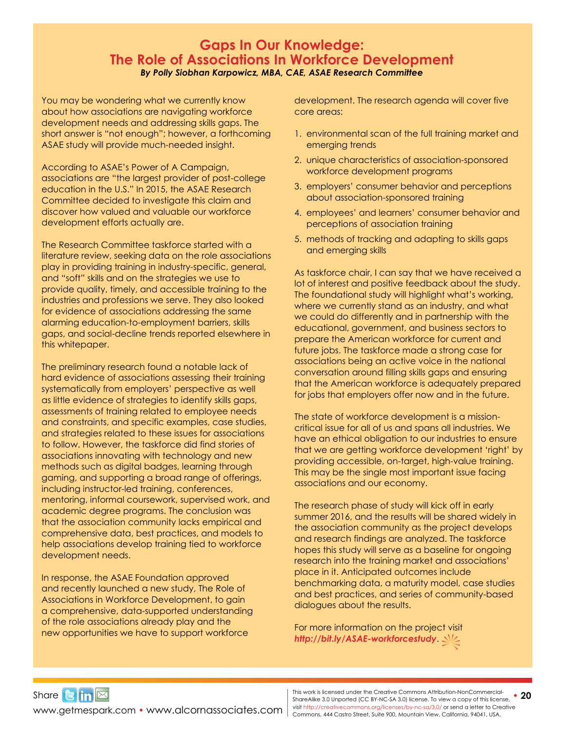#### **Gaps In Our Knowledge: The Role of Associations In Workforce Development**  *By Polly Siobhan Karpowicz, MBA, CAE, ASAE Research Committee*

You may be wondering what we currently know about how associations are navigating workforce development needs and addressing skills gaps. The short answer is "not enough"; however, a forthcoming ASAE study will provide much-needed insight.

According to ASAE's Power of A Campaign, associations are "the largest provider of post-college education in the U.S." In 2015, the ASAE Research Committee decided to investigate this claim and discover how valued and valuable our workforce development efforts actually are.

The Research Committee taskforce started with a literature review, seeking data on the role associations play in providing training in industry-specific, general, and "soft" skills and on the strategies we use to provide quality, timely, and accessible training to the industries and professions we serve. They also looked for evidence of associations addressing the same alarming education-to-employment barriers, skills gaps, and social-decline trends reported elsewhere in this whitepaper.

The preliminary research found a notable lack of hard evidence of associations assessing their training systematically from employers' perspective as well as little evidence of strategies to identify skills gaps, assessments of training related to employee needs and constraints, and specific examples, case studies, and strategies related to these issues for associations to follow. However, the taskforce did find stories of associations innovating with technology and new methods such as digital badges, learning through gaming, and supporting a broad range of offerings, including instructor-led training, conferences, mentoring, informal coursework, supervised work, and academic degree programs. The conclusion was that the association community lacks empirical and comprehensive data, best practices, and models to help associations develop training tied to workforce development needs.

In response, the ASAE Foundation approved and recently launched a new study, The Role of Associations in Workforce Development, to gain a comprehensive, data-supported understanding of the role associations already play and the new opportunities we have to support workforce

development. The research agenda will cover five core areas:

- 1. environmental scan of the full training market and emerging trends
- 2. unique characteristics of association-sponsored workforce development programs
- 3. employers' consumer behavior and perceptions about association-sponsored training
- 4. employees' and learners' consumer behavior and perceptions of association training
- 5. methods of tracking and adapting to skills gaps and emerging skills

As taskforce chair, I can say that we have received a lot of interest and positive feedback about the study. The foundational study will highlight what's working, where we currently stand as an industry, and what we could do differently and in partnership with the educational, government, and business sectors to prepare the American workforce for current and future jobs. The taskforce made a strong case for associations being an active voice in the national conversation around filling skills gaps and ensuring that the American workforce is adequately prepared for jobs that employers offer now and in the future.

The state of workforce development is a missioncritical issue for all of us and spans all industries. We have an ethical obligation to our industries to ensure that we are getting workforce development 'right' by providing accessible, on-target, high-value training. This may be the single most important issue facing associations and our economy.

The research phase of study will kick off in early summer 2016, and the results will be shared widely in the association community as the project develops and research findings are analyzed. The taskforce hopes this study will serve as a baseline for ongoing research into the training market and associations' place in it. Anticipated outcomes include benchmarking data, a maturity model, case studies and best practices, and series of community-based dialogues about the results.

For more information on the project visit *<http://bit.ly/ASAE-workforcestudy>*.

WWW.getmespark.com • [www.alcornassociates.com](http://www.alcornassociates.com) | visit http://creativecommons.org/licenses/by-nc-sa/3.0/ or send a letter to Cre<br>Commons, 444 Castro Street, Suite 900, Mountain View, California, 94041, USA. **This work is licensed under the Creative Commons Attribution-NonCommercial-**<br>Share Alike 3.0 Unported (CC BY NC \$ 4.2.0) license. To view a sensual this license. • 20 ShareAlike 3.0 Unported (CC BY-NC-SA 3.0) license. To view a copy of this license, visit<http://creativecommons.org/licenses/by-nc-sa/3.0/> or send a letter to Creative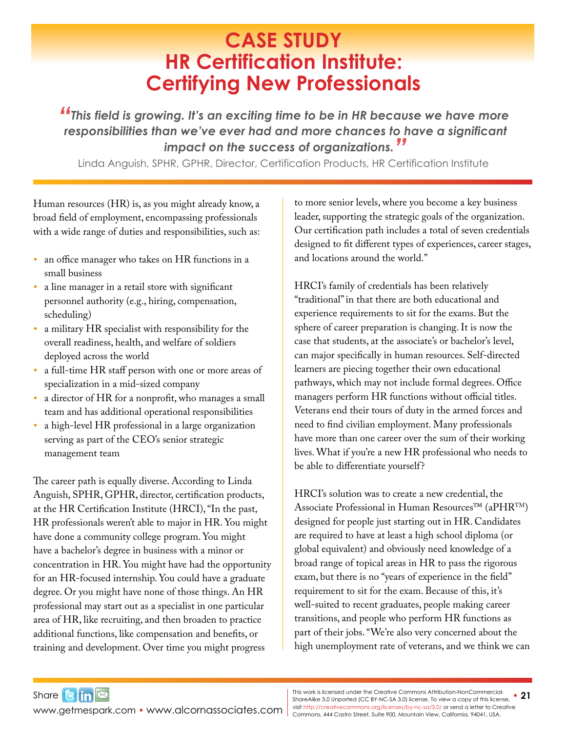## **CASE STUDY HR Certification Institute: Certifying New Professionals**

<span id="page-20-0"></span>*"This field is growing. It's an exciting time to be in HR because we have more responsibilities than we've ever had and more chances to have a significant impact on the success of organizations."*

Linda Anguish, SPHR, GPHR, Director, Certification Products, HR Certification Institute

Human resources (HR) is, as you might already know, a broad field of employment, encompassing professionals with a wide range of duties and responsibilities, such as:

- *•* an office manager who takes on HR functions in a small business
- a line manager in a retail store with significant personnel authority (e.g., hiring, compensation, scheduling)
- *•* a military HR specialist with responsibility for the overall readiness, health, and welfare of soldiers deployed across the world
- *•* a full-time HR staff person with one or more areas of specialization in a mid-sized company
- *•* a director of HR for a nonprofit, who manages a small team and has additional operational responsibilities
- *•* a high-level HR professional in a large organization serving as part of the CEO's senior strategic management team

The career path is equally diverse. According to Linda Anguish, SPHR, GPHR, director, certification products, at the HR Certification Institute (HRCI), "In the past, HR professionals weren't able to major in HR. You might have done a community college program. You might have a bachelor's degree in business with a minor or concentration in HR. You might have had the opportunity for an HR-focused internship. You could have a graduate degree. Or you might have none of those things. An HR professional may start out as a specialist in one particular area of HR, like recruiting, and then broaden to practice additional functions, like compensation and benefits, or training and development. Over time you might progress

to more senior levels, where you become a key business leader, supporting the strategic goals of the organization. Our certification path includes a total of seven credentials designed to fit different types of experiences, career stages, and locations around the world."

HRCI's family of credentials has been relatively "traditional" in that there are both educational and experience requirements to sit for the exams. But the sphere of career preparation is changing. It is now the case that students, at the associate's or bachelor's level, can major specifically in human resources. Self-directed learners are piecing together their own educational pathways, which may not include formal degrees. Office managers perform HR functions without official titles. Veterans end their tours of duty in the armed forces and need to find civilian employment. Many professionals have more than one career over the sum of their working lives. What if you're a new HR professional who needs to be able to differentiate yourself?

HRCI's solution was to create a new credential, the Associate Professional in Human Resources™ (aPHRTM) designed for people just starting out in HR. Candidates are required to have at least a high school diploma (or global equivalent) and obviously need knowledge of a broad range of topical areas in HR to pass the rigorous exam, but there is no "years of experience in the field" requirement to sit for the exam. Because of this, it's well-suited to recent graduates, people making career transitions, and people who perform HR functions as part of their jobs. "We're also very concerned about the high unemployment rate of veterans, and we think we can

Share $3 \text{ln} \boxtimes$ [www.getmespark.com](http://www.getmespark.com) • [www.alcornassociates.com](http://www.alcornassociates.com)

This work is licensed under the Creative Commons Attribution-NonCommercial-**400 – 31**<br>ShareAlike 3.0 Unported (CC BY-NC-SA 3.0) license. To view a copy of this license, **321** visit<http://creativecommons.org/licenses/by-nc-sa/3.0/> or send a letter to Creative Commons, 444 Castro Street, Suite 900, Mountain View, California, 94041, USA.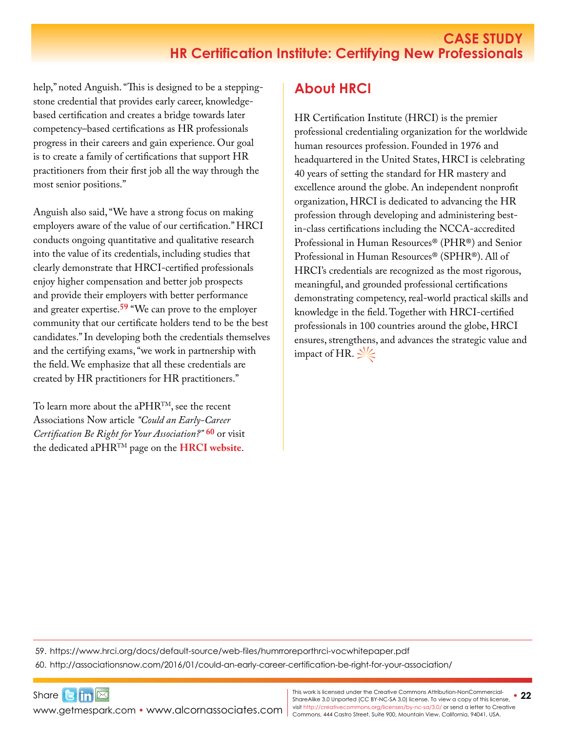#### **CASE STUDY HR Certification Institute: Certifying New Professionals**

help," noted Anguish. "This is designed to be a steppingstone credential that provides early career, knowledgebased certification and creates a bridge towards later competency–based certifications as HR professionals progress in their careers and gain experience. Our goal is to create a family of certifications that support HR practitioners from their first job all the way through the most senior positions."

Anguish also said, "We have a strong focus on making employers aware of the value of our certification." HRCI conducts ongoing quantitative and qualitative research into the value of its credentials, including studies that clearly demonstrate that HRCI-certified professionals enjoy higher compensation and better job prospects and provide their employers with better performance and greater expertise.**[59](https://www.hrci.org/docs/default-source/web-files/humrroreporthrci-vocwhitepaper.pdf)** "We can prove to the employer community that our certificate holders tend to be the best candidates." In developing both the credentials themselves and the certifying exams, "we work in partnership with the field. We emphasize that all these credentials are created by HR practitioners for HR practitioners."

To learn more about the aPHR<sup>TM</sup>, see the recent Associations Now article *"Could an Early-Career Certification Be Right for Your Association?"* **[60](http://associationsnow.com/2016/01/could-an-early-career-certification-be-right-for-your-association/
)** or visit the dedicated aPHRTM page on the **[HRCI website](http://www.hrci.org/our-programs/our-hr-certifications/aphr)**.

### **About HRCI**

HR Certification Institute (HRCI) is the premier professional credentialing organization for the worldwide human resources profession. Founded in 1976 and headquartered in the United States, HRCI is celebrating 40 years of setting the standard for HR mastery and excellence around the globe. An independent nonprofit organization, HRCI is dedicated to advancing the HR profession through developing and administering bestin-class certifications including the NCCA-accredited Professional in Human Resources® (PHR®) and Senior Professional in Human Resources® (SPHR®). All of HRCI's credentials are recognized as the most rigorous, meaningful, and grounded professional certifications demonstrating competency, real-world practical skills and knowledge in the field. Together with HRCI-certified professionals in 100 countries around the globe, HRCI ensures, strengthens, and advances the strategic value and impact of HR.  $\frac{1}{2}$ 

59. <https://www.hrci.org/docs/default-source/web-files/humrroreporthrci-vocwhitepaper.pdf>

60. <http://associationsnow.com/2016/01/could-an-early-career-certification-be-right-for-your-association/>

[www.getmespark.com](http://www.getmespark.com) • [www.alcornassociates.com](http://www.alcornassociates.com)

Share $\mathbf{G}$  in  $\mathbb{Z}$ 

• **22** This work is licensed under the Creative Commons Attribution-NonCommercial-ShareAlike 3.0 Unported (CC BY-NC-SA 3.0) license. To view a copy of this license, visit<http://creativecommons.org/licenses/by-nc-sa/3.0/> or send a letter to Creative Commons, 444 Castro Street, Suite 900, Mountain View, California, 94041, USA.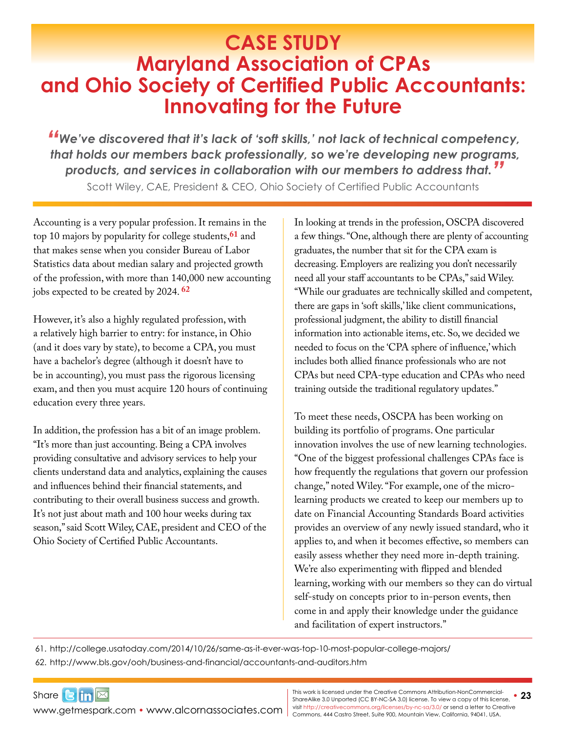## <span id="page-22-0"></span>**CASE STUDY Maryland Association of CPAs and Ohio Society of Certified Public Accountants: Innovating for the Future**

*"We've discovered that it's lack of 'soft skills,' not lack of technical competency, that holds our members back professionally, so we're developing new programs, products, and services in collaboration with our members to address that."* Scott Wiley, CAE, President & CEO, Ohio Society of Certified Public Accountants

Accounting is a very popular profession. It remains in the top 10 majors by popularity for college students,**61** and that makes sense when you consider Bureau of Labor Statistics data about median salary and projected growth of the profession, with more than 140,000 new accounting jobs expected to be created by 2024. **[62](http://www.bls.gov/ooh/business-and-financial/accountants-and-auditors.htm)**

However, it's also a highly regulated profession, with a relatively high barrier to entry: for instance, in Ohio (and it does vary by state), to become a CPA, you must have a bachelor's degree (although it doesn't have to be in accounting), you must pass the rigorous licensing exam, and then you must acquire 120 hours of continuing education every three years.

In addition, the profession has a bit of an image problem. "It's more than just accounting. Being a CPA involves providing consultative and advisory services to help your clients understand data and analytics, explaining the causes and influences behind their financial statements, and contributing to their overall business success and growth. It's not just about math and 100 hour weeks during tax season," said Scott Wiley, CAE, president and CEO of the Ohio Society of Certified Public Accountants.

In looking at trends in the profession, OSCPA discovered a few things. "One, although there are plenty of accounting graduates, the number that sit for the CPA exam is decreasing. Employers are realizing you don't necessarily need all your staff accountants to be CPAs," said Wiley. "While our graduates are technically skilled and competent, there are gaps in 'soft skills,' like client communications, professional judgment, the ability to distill financial information into actionable items, etc. So, we decided we needed to focus on the 'CPA sphere of influence,' which includes both allied finance professionals who are not CPAs but need CPA-type education and CPAs who need training outside the traditional regulatory updates."

To meet these needs, OSCPA has been working on building its portfolio of programs. One particular innovation involves the use of new learning technologies. "One of the biggest professional challenges CPAs face is how frequently the regulations that govern our profession change," noted Wiley. "For example, one of the microlearning products we created to keep our members up to date on Financial Accounting Standards Board activities provides an overview of any newly issued standard, who it applies to, and when it becomes effective, so members can easily assess whether they need more in-depth training. We're also experimenting with flipped and blended learning, working with our members so they can do virtual self-study on concepts prior to in-person events, then come in and apply their knowledge under the guidance and facilitation of expert instructors."

61. <http://college.usatoday.com/2014/10/26/same-as-it-ever-was-top-10-most-popular-college-majors/>

62. <http://www.bls.gov/ooh/business-and-financial/accountants-and-auditors.htm>

Share**Bin** WWW.getmespark.com • [www.alcornassociates.com](http://www.alcornassociates.com) | visit http://creativecommons.org/licenses/by-nc-sa/3.0/ or send a letter to Cre<br>Commons, 444 Castro Street, Suite 900, Mountain View, California, 94041, USA.

**This work is licensed under the Creative Commons Attribution-NonCommercial-**<br>Share Alike 3.0 Unported (CC BY NC \$4.3.0) license. To view a sequed this ligence **23** ShareAlike 3.0 Unported (CC BY-NC-SA 3.0) license. To view a copy of this license, visit<http://creativecommons.org/licenses/by-nc-sa/3.0/> or send a letter to Creative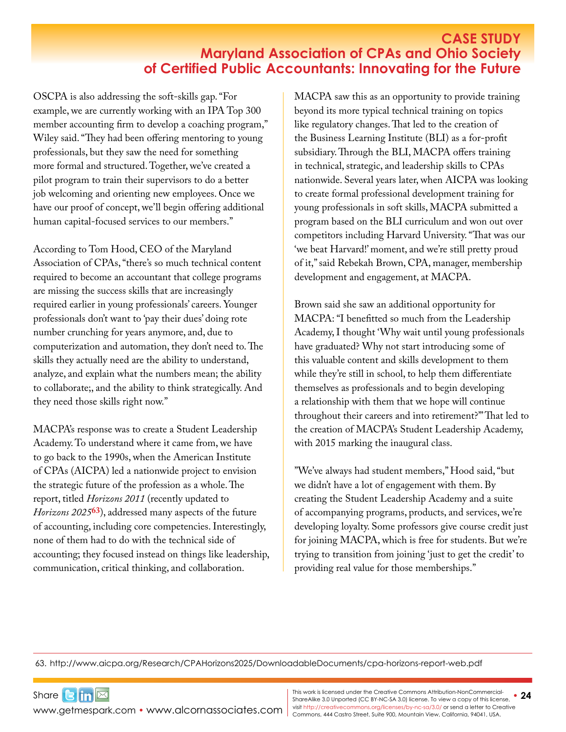#### **CASE STUDY Maryland Association of CPAs and Ohio Society of Certified Public Accountants: Innovating for the Future**

OSCPA is also addressing the soft-skills gap. "For example, we are currently working with an IPA Top 300 member accounting firm to develop a coaching program," Wiley said. "They had been offering mentoring to young professionals, but they saw the need for something more formal and structured. Together, we've created a pilot program to train their supervisors to do a better job welcoming and orienting new employees. Once we have our proof of concept, we'll begin offering additional human capital-focused services to our members."

According to Tom Hood, CEO of the Maryland Association of CPAs, "there's so much technical content required to become an accountant that college programs are missing the success skills that are increasingly required earlier in young professionals' careers. Younger professionals don't want to 'pay their dues' doing rote number crunching for years anymore, and, due to computerization and automation, they don't need to. The skills they actually need are the ability to understand, analyze, and explain what the numbers mean; the ability to collaborate;, and the ability to think strategically. And they need those skills right now."

MACPA's response was to create a Student Leadership Academy. To understand where it came from, we have to go back to the 1990s, when the American Institute of CPAs (AICPA) led a nationwide project to envision the strategic future of the profession as a whole. The report, titled *Horizons 2011* (recently updated to *Horizons 2025***[63](http://www.aicpa.org/Research/CPAHorizons2025/DownloadableDocuments/cpa-horizons-report-web.pdf)**), addressed many aspects of the future of accounting, including core competencies. Interestingly, none of them had to do with the technical side of accounting; they focused instead on things like leadership, communication, critical thinking, and collaboration.

MACPA saw this as an opportunity to provide training beyond its more typical technical training on topics like regulatory changes. That led to the creation of the Business Learning Institute (BLI) as a for-profit subsidiary. Through the BLI, MACPA offers training in technical, strategic, and leadership skills to CPAs nationwide. Several years later, when AICPA was looking to create formal professional development training for young professionals in soft skills, MACPA submitted a program based on the BLI curriculum and won out over competitors including Harvard University. "That was our 'we beat Harvard!' moment, and we're still pretty proud of it," said Rebekah Brown, CPA, manager, membership development and engagement, at MACPA.

Brown said she saw an additional opportunity for MACPA: "I benefitted so much from the Leadership Academy, I thought 'Why wait until young professionals have graduated? Why not start introducing some of this valuable content and skills development to them while they're still in school, to help them differentiate themselves as professionals and to begin developing a relationship with them that we hope will continue throughout their careers and into retirement?'" That led to the creation of MACPA's Student Leadership Academy, with 2015 marking the inaugural class.

"We've always had student members," Hood said, "but we didn't have a lot of engagement with them. By creating the Student Leadership Academy and a suite of accompanying programs, products, and services, we're developing loyalty. Some professors give course credit just for joining MACPA, which is free for students. But we're trying to transition from joining 'just to get the credit' to providing real value for those memberships."

63. <http://www.aicpa.org/Research/CPAHorizons2025/DownloadableDocuments/cpa-horizons-report-web.pdf>

[www.getmespark.com](http://www.getmespark.com) • [www.alcornassociates.com](http://www.alcornassociates.com)

Share**Bin**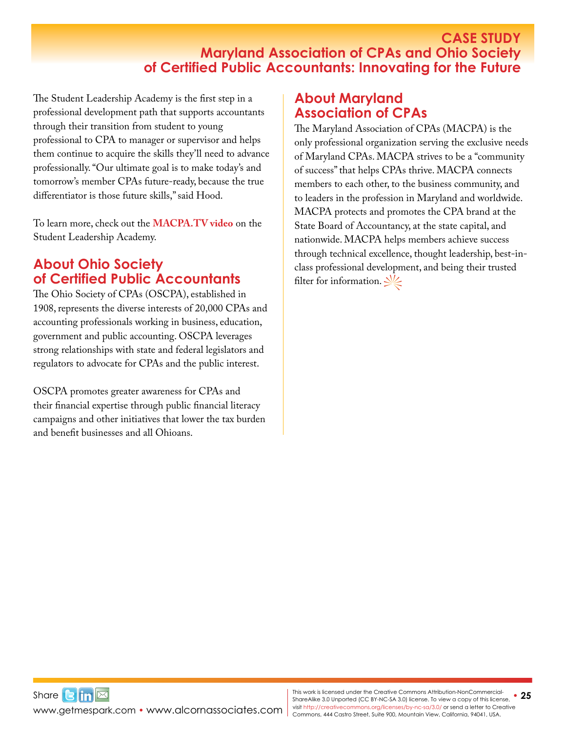#### **CASE STUDY Maryland Association of CPAs and Ohio Society of Certified Public Accountants: Innovating for the Future**

The Student Leadership Academy is the first step in a professional development path that supports accountants through their transition from student to young professional to CPA to manager or supervisor and helps them continue to acquire the skills they'll need to advance professionally. "Our ultimate goal is to make today's and tomorrow's member CPAs future-ready, because the true differentiator is those future skills," said Hood.

To learn more, check out the **[MACPA.TV](http://macpa.tv/show/macpa-events/macpa-events-student-leadership-academy/#dzawchuo6s) video** on the Student Leadership Academy.

### **About Ohio Society of Certified Public Accountants**

The Ohio Society of CPAs (OSCPA), established in 1908, represents the diverse interests of 20,000 CPAs and accounting professionals working in business, education, government and public accounting. OSCPA leverages strong relationships with state and federal legislators and regulators to advocate for CPAs and the public interest.

OSCPA promotes greater awareness for CPAs and their financial expertise through public financial literacy campaigns and other initiatives that lower the tax burden and benefit businesses and all Ohioans.

#### **About Maryland Association of CPAs**

The Maryland Association of CPAs (MACPA) is the only professional organization serving the exclusive needs of Maryland CPAs. MACPA strives to be a "community of success" that helps CPAs thrive. MACPA connects members to each other, to the business community, and to leaders in the profession in Maryland and worldwide. MACPA protects and promotes the CPA brand at the State Board of Accountancy, at the state capital, and nationwide. MACPA helps members achieve success through technical excellence, thought leadership, best-inclass professional development, and being their trusted filter for information.  $\frac{1}{2}$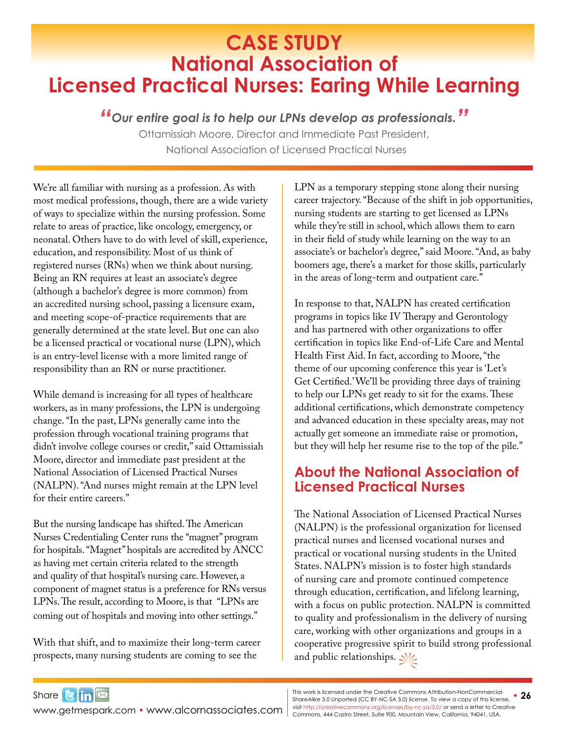## <span id="page-25-0"></span>**CASE STUDY National Association of Licensed Practical Nurses: Earing While Learning**

*"Our entire goal is to help our LPNs develop as professionals."*

Ottamissiah Moore, Director and Immediate Past President, National Association of Licensed Practical Nurses

We're all familiar with nursing as a profession. As with most medical professions, though, there are a wide variety of ways to specialize within the nursing profession. Some relate to areas of practice, like oncology, emergency, or neonatal. Others have to do with level of skill, experience, education, and responsibility. Most of us think of registered nurses (RNs) when we think about nursing. Being an RN requires at least an associate's degree (although a bachelor's degree is more common) from an accredited nursing school, passing a licensure exam, and meeting scope-of-practice requirements that are generally determined at the state level. But one can also be a licensed practical or vocational nurse (LPN), which is an entry-level license with a more limited range of responsibility than an RN or nurse practitioner.

While demand is increasing for all types of healthcare workers, as in many professions, the LPN is undergoing change. "In the past, LPNs generally came into the profession through vocational training programs that didn't involve college courses or credit," said Ottamissiah Moore, director and immediate past president at the National Association of Licensed Practical Nurses (NALPN). "And nurses might remain at the LPN level for their entire careers."

But the nursing landscape has shifted. The American Nurses Credentialing Center runs the "magnet" program for hospitals. "Magnet" hospitals are accredited by ANCC as having met certain criteria related to the strength and quality of that hospital's nursing care. However, a component of magnet status is a preference for RNs versus LPNs. The result, according to Moore, is that "LPNs are coming out of hospitals and moving into other settings."

With that shift, and to maximize their long-term career prospects, many nursing students are coming to see the

Share $3 \text{ln} \boxtimes$ 

LPN as a temporary stepping stone along their nursing career trajectory. "Because of the shift in job opportunities, nursing students are starting to get licensed as LPNs while they're still in school, which allows them to earn in their field of study while learning on the way to an associate's or bachelor's degree," said Moore. "And, as baby boomers age, there's a market for those skills, particularly in the areas of long-term and outpatient care."

In response to that, NALPN has created certification programs in topics like IV Therapy and Gerontology and has partnered with other organizations to offer certification in topics like End-of-Life Care and Mental Health First Aid. In fact, according to Moore, "the theme of our upcoming conference this year is 'Let's Get Certified.' We'll be providing three days of training to help our LPNs get ready to sit for the exams. These additional certifications, which demonstrate competency and advanced education in these specialty areas, may not actually get someone an immediate raise or promotion, but they will help her resume rise to the top of the pile."

### **About the National Association of Licensed Practical Nurses**

The National Association of Licensed Practical Nurses (NALPN) is the professional organization for licensed practical nurses and licensed vocational nurses and practical or vocational nursing students in the United States. NALPN's mission is to foster high standards of nursing care and promote continued competence through education, certification, and lifelong learning, with a focus on public protection. NALPN is committed to quality and professionalism in the delivery of nursing care, working with other organizations and groups in a cooperative progressive spirit to build strong professional and public relationships.  $\frac{1}{2}$ 

[www.getmespark.com](http://www.getmespark.com) • [www.alcornassociates.com](http://www.alcornassociates.com)

**This work is licensed under the Creative Commons Attribution-NonCommercial-**<br>Share Alike 3.0 Unported (CC BY NC \$A 3.0) license. To view a copy of this license. • 26 ShareAlike 3.0 Unported (CC BY-NC-SA 3.0) license. To view a copy of this license, visit<http://creativecommons.org/licenses/by-nc-sa/3.0/> or send a letter to Creative Commons, 444 Castro Street, Suite 900, Mountain View, California, 94041, USA.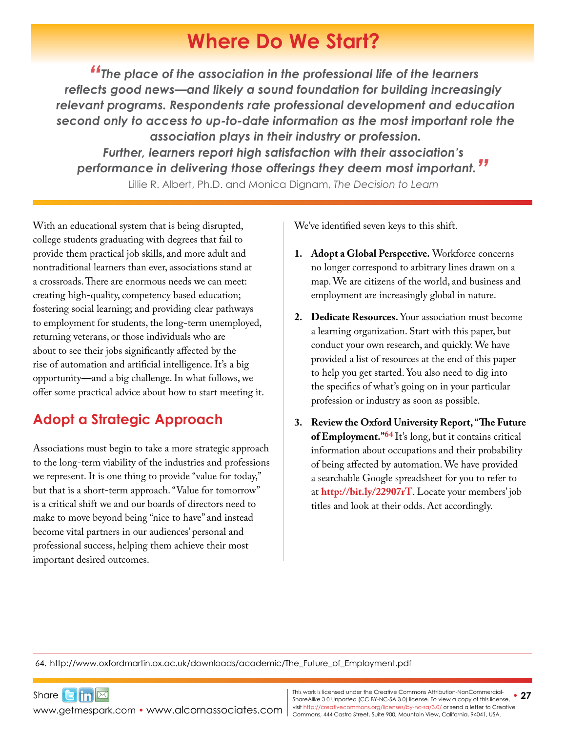## **Where Do We Start?**

<span id="page-26-0"></span>*"The place of the association in the professional life of the learners reflects good news—and likely a sound foundation for building increasingly relevant programs. Respondents rate professional development and education second only to access to up-to-date information as the most important role the association plays in their industry or profession. Further, learners report high satisfaction with their association's performance in delivering those offerings they deem most important."* Lillie R. Albert, Ph.D. and Monica Dignam, *The Decision to Learn*

With an educational system that is being disrupted, college students graduating with degrees that fail to provide them practical job skills, and more adult and nontraditional learners than ever, associations stand at a crossroads. There are enormous needs we can meet: creating high-quality, competency based education; fostering social learning; and providing clear pathways to employment for students, the long-term unemployed, returning veterans, or those individuals who are about to see their jobs significantly affected by the rise of automation and artificial intelligence. It's a big opportunity—and a big challenge. In what follows, we offer some practical advice about how to start meeting it.

### **Adopt a Strategic Approach**

Associations must begin to take a more strategic approach to the long-term viability of the industries and professions we represent. It is one thing to provide "value for today," but that is a short-term approach. "Value for tomorrow" is a critical shift we and our boards of directors need to make to move beyond being "nice to have" and instead become vital partners in our audiences' personal and professional success, helping them achieve their most important desired outcomes.

We've identified seven keys to this shift.

- **1. Adopt a Global Perspective.** Workforce concerns no longer correspond to arbitrary lines drawn on a map. We are citizens of the world, and business and employment are increasingly global in nature.
- **2. Dedicate Resources.** Your association must become a learning organization. Start with this paper, but conduct your own research, and quickly. We have provided a list of resources at the end of this paper to help you get started. You also need to dig into the specifics of what's going on in your particular profession or industry as soon as possible.
- **3. Review the Oxford University Report, "The Future of Employment.["64](http://www.oxfordmartin.ox.ac.uk/downloads/academic/The_Future_of_Employment.pdf)** It's long, but it contains critical information about occupations and their probability of being affected by automation. We have provided a searchable Google spreadsheet for you to refer to at **<http://bit.ly/22907rT>**. Locate your members' job titles and look at their odds. Act accordingly.

64. [http://www.oxfordmartin.ox.ac.uk/downloads/academic/The\\_Future\\_of\\_Employment.pdf](http://www.oxfordmartin.ox.ac.uk/downloads/academic/The_Future_of_Employment.pdf)

Share**Bin** [www.getmespark.com](http://www.getmespark.com) • [www.alcornassociates.com](http://www.alcornassociates.com)

• **27** This work is licensed under the Creative Commons Attribution-NonCommercial-ShareAlike 3.0 Unported (CC BY-NC-SA 3.0) license. To view a copy of this license, visit<http://creativecommons.org/licenses/by-nc-sa/3.0/> or send a letter to Creative Commons, 444 Castro Street, Suite 900, Mountain View, California, 94041, USA.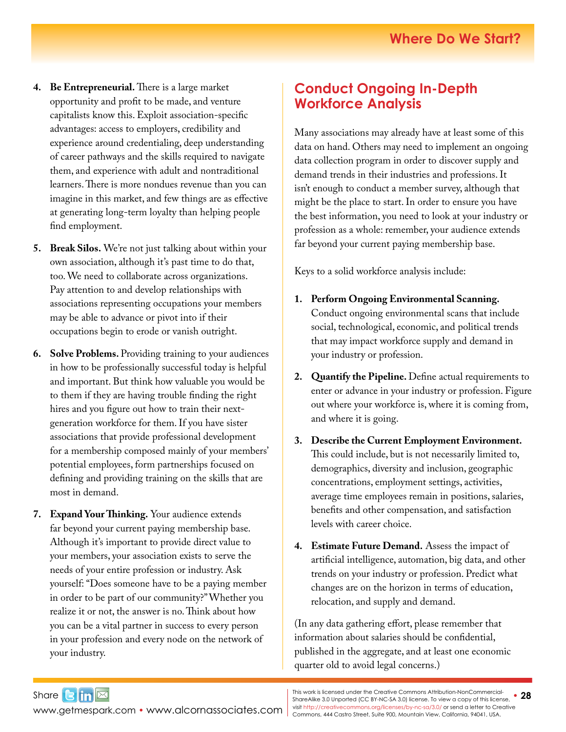- **4. Be Entrepreneurial.** There is a large market opportunity and profit to be made, and venture capitalists know this. Exploit association-specific advantages: access to employers, credibility and experience around credentialing, deep understanding of career pathways and the skills required to navigate them, and experience with adult and nontraditional learners. There is more nondues revenue than you can imagine in this market, and few things are as effective at generating long-term loyalty than helping people find employment.
- **5. Break Silos.** We're not just talking about within your own association, although it's past time to do that, too. We need to collaborate across organizations. Pay attention to and develop relationships with associations representing occupations your members may be able to advance or pivot into if their occupations begin to erode or vanish outright.
- **6. Solve Problems.** Providing training to your audiences in how to be professionally successful today is helpful and important. But think how valuable you would be to them if they are having trouble finding the right hires and you figure out how to train their nextgeneration workforce for them. If you have sister associations that provide professional development for a membership composed mainly of your members' potential employees, form partnerships focused on defining and providing training on the skills that are most in demand.
- **7. Expand Your Thinking.** Your audience extends far beyond your current paying membership base. Although it's important to provide direct value to your members, your association exists to serve the needs of your entire profession or industry. Ask yourself: "Does someone have to be a paying member in order to be part of our community?" Whether you realize it or not, the answer is no. Think about how you can be a vital partner in success to every person in your profession and every node on the network of your industry.

#### **Conduct Ongoing In-Depth Workforce Analysis**

Many associations may already have at least some of this data on hand. Others may need to implement an ongoing data collection program in order to discover supply and demand trends in their industries and professions. It isn't enough to conduct a member survey, although that might be the place to start. In order to ensure you have the best information, you need to look at your industry or profession as a whole: remember, your audience extends far beyond your current paying membership base.

Keys to a solid workforce analysis include:

- **1. Perform Ongoing Environmental Scanning.** Conduct ongoing environmental scans that include social, technological, economic, and political trends that may impact workforce supply and demand in your industry or profession.
- **2. Quantify the Pipeline.** Define actual requirements to enter or advance in your industry or profession. Figure out where your workforce is, where it is coming from, and where it is going.
- **3. Describe the Current Employment Environment.**  This could include, but is not necessarily limited to, demographics, diversity and inclusion, geographic concentrations, employment settings, activities, average time employees remain in positions, salaries, benefits and other compensation, and satisfaction levels with career choice.
- **4. Estimate Future Demand.** Assess the impact of artificial intelligence, automation, big data, and other trends on your industry or profession. Predict what changes are on the horizon in terms of education, relocation, and supply and demand.

(In any data gathering effort, please remember that information about salaries should be confidential, published in the aggregate, and at least one economic quarter old to avoid legal concerns.)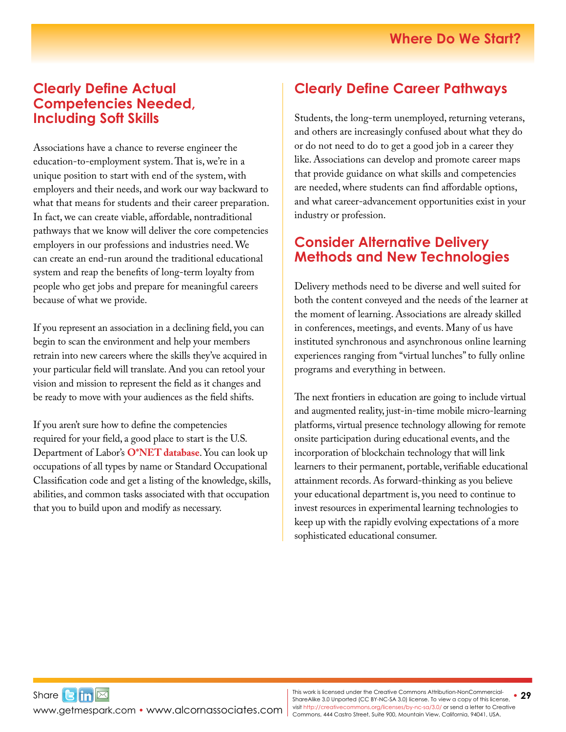#### **Clearly Define Actual Competencies Needed, Including Soft Skills**

Associations have a chance to reverse engineer the education-to-employment system. That is, we're in a unique position to start with end of the system, with employers and their needs, and work our way backward to what that means for students and their career preparation. In fact, we can create viable, affordable, nontraditional pathways that we know will deliver the core competencies employers in our professions and industries need. We can create an end-run around the traditional educational system and reap the benefits of long-term loyalty from people who get jobs and prepare for meaningful careers because of what we provide.

If you represent an association in a declining field, you can begin to scan the environment and help your members retrain into new careers where the skills they've acquired in your particular field will translate. And you can retool your vision and mission to represent the field as it changes and be ready to move with your audiences as the field shifts.

If you aren't sure how to define the competencies required for your field, a good place to start is the U.S. Department of Labor's **[O\\*NET database](https://www.onetonline.org/)**.You can look up occupations of all types by name or Standard Occupational Classification code and get a listing of the knowledge, skills, abilities, and common tasks associated with that occupation that you to build upon and modify as necessary.

### **Clearly Define Career Pathways**

Students, the long-term unemployed, returning veterans, and others are increasingly confused about what they do or do not need to do to get a good job in a career they like. Associations can develop and promote career maps that provide guidance on what skills and competencies are needed, where students can find affordable options, and what career-advancement opportunities exist in your industry or profession.

#### **Consider Alternative Delivery Methods and New Technologies**

Delivery methods need to be diverse and well suited for both the content conveyed and the needs of the learner at the moment of learning. Associations are already skilled in conferences, meetings, and events. Many of us have instituted synchronous and asynchronous online learning experiences ranging from "virtual lunches" to fully online programs and everything in between.

The next frontiers in education are going to include virtual and augmented reality, just-in-time mobile micro-learning platforms, virtual presence technology allowing for remote onsite participation during educational events, and the incorporation of blockchain technology that will link learners to their permanent, portable, verifiable educational attainment records. As forward-thinking as you believe your educational department is, you need to continue to invest resources in experimental learning technologies to keep up with the rapidly evolving expectations of a more sophisticated educational consumer.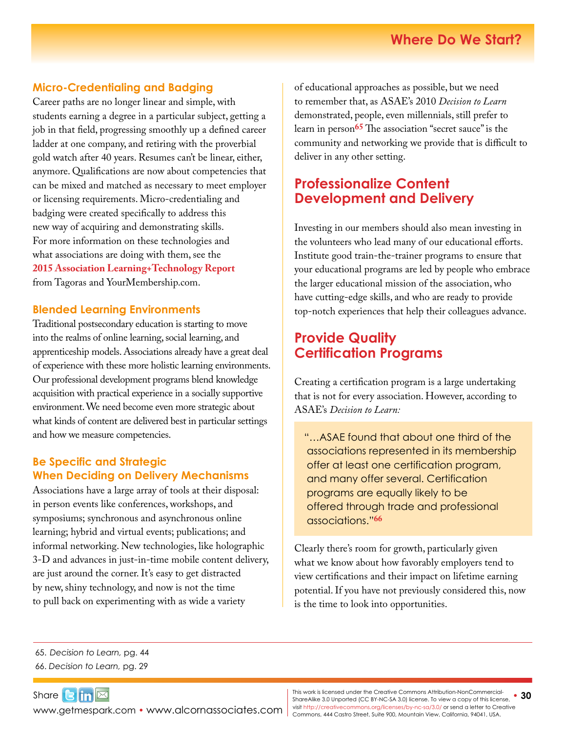#### **Micro-Credentialing and Badging**

Career paths are no longer linear and simple, with students earning a degree in a particular subject, getting a job in that field, progressing smoothly up a defined career ladder at one company, and retiring with the proverbial gold watch after 40 years. Resumes can't be linear, either, anymore. Qualifications are now about competencies that can be mixed and matched as necessary to meet employer or licensing requirements. Micro-credentialing and badging were created specifically to address this new way of acquiring and demonstrating skills. For more information on these technologies and what associations are doing with them, see the **2015 [Association Learning+Technology Report](http://www.tagoras.com/catalog/association-learning-technology/)** from Tagoras and [YourMembership.com](http://YourMembership.com).

#### **Blended Learning Environments**

Traditional postsecondary education is starting to move into the realms of online learning, social learning, and apprenticeship models. Associations already have a great deal of experience with these more holistic learning environments. Our professional development programs blend knowledge acquisition with practical experience in a socially supportive environment. We need become even more strategic about what kinds of content are delivered best in particular settings and how we measure competencies.

#### **Be Specific and Strategic When Deciding on Delivery Mechanisms**

Associations have a large array of tools at their disposal: in person events like conferences, workshops, and symposiums; synchronous and asynchronous online learning; hybrid and virtual events; publications; and informal networking. New technologies, like holographic 3-D and advances in just-in-time mobile content delivery, are just around the corner. It's easy to get distracted by new, shiny technology, and now is not the time to pull back on experimenting with as wide a variety

of educational approaches as possible, but we need to remember that, as ASAE's 2010 *Decision to Learn*  demonstrated, people, even millennials, still prefer to learn in person**65** The association "secret sauce" is the community and networking we provide that is difficult to deliver in any other setting.

#### **Professionalize Content Development and Delivery**

Investing in our members should also mean investing in the volunteers who lead many of our educational efforts. Institute good train-the-trainer programs to ensure that your educational programs are led by people who embrace the larger educational mission of the association, who have cutting-edge skills, and who are ready to provide top-notch experiences that help their colleagues advance.

#### **Provide Quality Certification Programs**

Creating a certification program is a large undertaking that is not for every association. However, according to ASAE's *Decision to Learn:* 

"…ASAE found that about one third of the associations represented in its membership offer at least one certification program, and many offer several. Certification programs are equally likely to be offered through trade and professional associations."**66**

Clearly there's room for growth, particularly given what we know about how favorably employers tend to view certifications and their impact on lifetime earning potential. If you have not previously considered this, now is the time to look into opportunities.

65. *Decision to Learn,* pg. 44

66. *Decision to Learn,* pg. 29

Share $\mathbf{G}$  in  $\mathbb{Z}$ [www.getmespark.com](http://www.getmespark.com) • [www.alcornassociates.com](http://www.alcornassociates.com)

This work is licensed under the Creative Commons Attribution-NonCommercial- **30**<br>ShareAlike 3.0 Unported (CC BY-NC-SA 3.0) license. To view a copy of this license, **30** visit<http://creativecommons.org/licenses/by-nc-sa/3.0/> or send a letter to Creative Commons, 444 Castro Street, Suite 900, Mountain View, California, 94041, USA.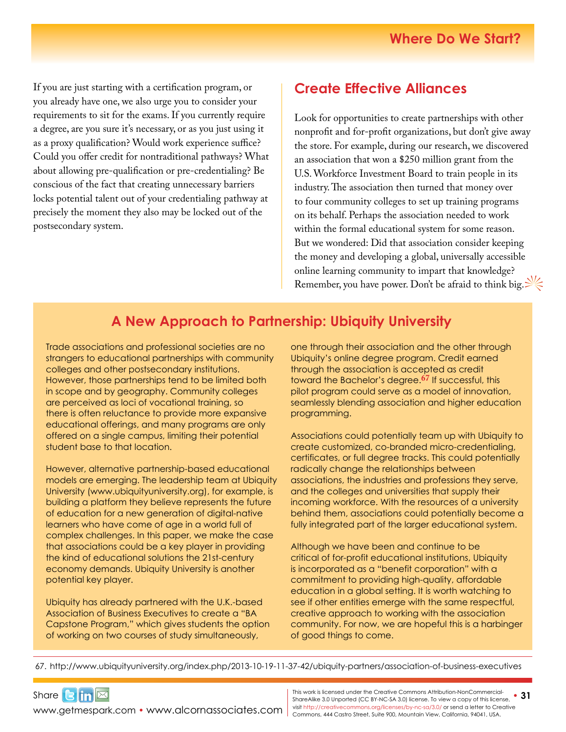If you are just starting with a certification program, or you already have one, we also urge you to consider your requirements to sit for the exams. If you currently require a degree, are you sure it's necessary, or as you just using it as a proxy qualification? Would work experience suffice? Could you offer credit for nontraditional pathways? What about allowing pre-qualification or pre-credentialing? Be conscious of the fact that creating unnecessary barriers locks potential talent out of your credentialing pathway at precisely the moment they also may be locked out of the postsecondary system.

### **Create Effective Alliances**

Look for opportunities to create partnerships with other nonprofit and for-profit organizations, but don't give away the store. For example, during our research, we discovered an association that won a \$250 million grant from the U.S. Workforce Investment Board to train people in its industry. The association then turned that money over to four community colleges to set up training programs on its behalf. Perhaps the association needed to work within the formal educational system for some reason. But we wondered: Did that association consider keeping the money and developing a global, universally accessible online learning community to impart that knowledge? Remember, you have power. Don't be afraid to think big.

#### **A New Approach to Partnership: Ubiquity University**

Trade associations and professional societies are no strangers to educational partnerships with community colleges and other postsecondary institutions. However, those partnerships tend to be limited both in scope and by geography. Community colleges are perceived as loci of vocational training, so there is often reluctance to provide more expansive educational offerings, and many programs are only offered on a single campus, limiting their potential student base to that location.

However, alternative partnership-based educational models are emerging. The leadership team at Ubiquity University ([www.ubiquityuniversity.org\)](http://www.ubiquityuniversity.org), for example, is building a platform they believe represents the future of education for a new generation of digital-native learners who have come of age in a world full of complex challenges. In this paper, we make the case that associations could be a key player in providing the kind of educational solutions the 21st-century economy demands. Ubiquity University is another potential key player.

Ubiquity has already partnered with the U.K.-based Association of Business Executives to create a "BA Capstone Program," which gives students the option of working on two courses of study simultaneously,

one through their association and the other through Ubiquity's online degree program. Credit earned through the association is accepted as credit toward the Bachelor's degree.**[6](http://www.ubiquityuniversity.org/index.php/2013-10-19-11-37-42/ubiquity-partners/association-of-business-executives)7** If successful, this pilot program could serve as a model of innovation, seamlessly blending association and higher education programming.

Associations could potentially team up with Ubiquity to create customized, co-branded micro-credentialing, certificates, or full degree tracks. This could potentially radically change the relationships between associations, the industries and professions they serve, and the colleges and universities that supply their incoming workforce. With the resources of a university behind them, associations could potentially become a fully integrated part of the larger educational system.

Although we have been and continue to be critical of for-profit educational institutions, Ubiquity is incorporated as a "benefit corporation" with a commitment to providing high-quality, affordable education in a global setting. It is worth watching to see if other entities emerge with the same respectful, creative approach to working with the association community. For now, we are hopeful this is a harbinger of good things to come.

67. <http://www.ubiquityuniversity.org/index.php/2013-10-19-11-37-42/ubiquity-partners/association-of-business-executives>

Share $3$  $\ln \boxtimes$ 

WWW.getmespark.com • [www.alcornassociates.com](http://www.alcornassociates.com) | visit http://creativecommons.org/licenses/by-nc-sa/3.0/ or send a letter to Cre<br>Commons, 444 Castro Street, Suite 900, Mountain View, California, 94041, USA.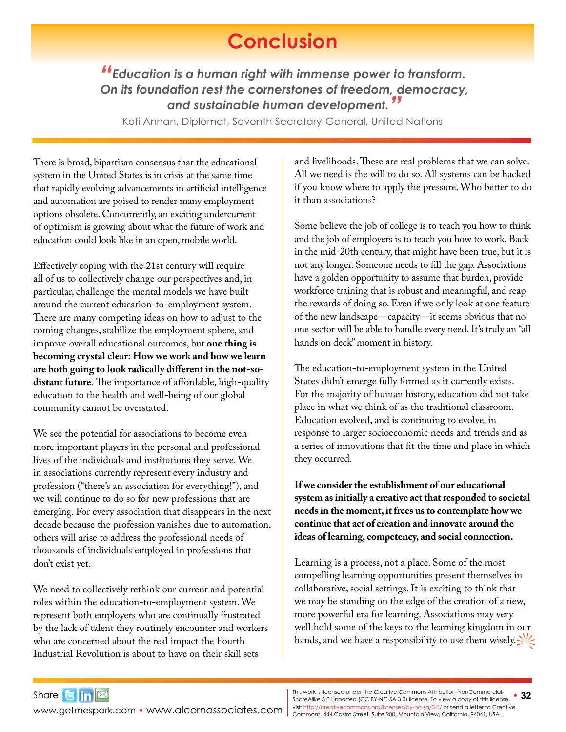## **Conclusion**

<span id="page-31-0"></span>*"Education is a human right with immense power to transform. On its foundation rest the cornerstones of freedom, democracy, and sustainable human development."*

Kofi Annan, Diplomat, Seventh Secretary-General, United Nations

There is broad, bipartisan consensus that the educational system in the United States is in crisis at the same time that rapidly evolving advancements in artificial intelligence and automation are poised to render many employment options obsolete. Concurrently, an exciting undercurrent of optimism is growing about what the future of work and education could look like in an open, mobile world.

Effectively coping with the 21st century will require all of us to collectively change our perspectives and, in particular, challenge the mental models we have built around the current education-to-employment system. There are many competing ideas on how to adjust to the coming changes, stabilize the employment sphere, and improve overall educational outcomes, but **one thing is becoming crystal clear: How we work and how we learn are both going to look radically different in the not-sodistant future.** The importance of affordable, high-quality education to the health and well-being of our global community cannot be overstated.

We see the potential for associations to become even more important players in the personal and professional lives of the individuals and institutions they serve. We in associations currently represent every industry and profession ("there's an association for everything!"), and we will continue to do so for new professions that are emerging. For every association that disappears in the next decade because the profession vanishes due to automation, others will arise to address the professional needs of thousands of individuals employed in professions that don't exist yet.

We need to collectively rethink our current and potential roles within the education-to-employment system. We represent both employers who are continually frustrated by the lack of talent they routinely encounter and workers who are concerned about the real impact the Fourth Industrial Revolution is about to have on their skill sets

and livelihoods. These are real problems that we can solve. All we need is the will to do so. All systems can be hacked if you know where to apply the pressure. Who better to do it than associations?

Some believe the job of college is to teach you how to think and the job of employers is to teach you how to work. Back in the mid-20th century, that might have been true, but it is not any longer. Someone needs to fill the gap. Associations have a golden opportunity to assume that burden, provide workforce training that is robust and meaningful, and reap the rewards of doing so. Even if we only look at one feature of the new landscape—capacity—it seems obvious that no one sector will be able to handle every need. It's truly an "all hands on deck" moment in history.

The education-to-employment system in the United States didn't emerge fully formed as it currently exists. For the majority of human history, education did not take place in what we think of as the traditional classroom. Education evolved, and is continuing to evolve, in response to larger socioeconomic needs and trends and as a series of innovations that fit the time and place in which they occurred.

**If we consider the establishment of our educational system as initially a creative act that responded to societal needs in the moment, it frees us to contemplate how we continue that act of creation and innovate around the ideas of learning, competency, and social connection.** 

Learning is a process, not a place. Some of the most compelling learning opportunities present themselves in collaborative, social settings. It is exciting to think that we may be standing on the edge of the creation of a new, more powerful era for learning. Associations may very well hold some of the keys to the learning kingdom in our hands, and we have a responsibility to use them wisely.

[www.getmespark.com](http://www.getmespark.com) • [www.alcornassociates.com](http://www.alcornassociates.com)

Share $3 \ln \boxtimes$ 

This work is licensed under the Creative Commons Attribution-NonCommercial- **32**<br>ShareAlike 3.0 Unported (CC BY-NC-SA 3.0) license. To view a copy of this license, **32** visit<http://creativecommons.org/licenses/by-nc-sa/3.0/> or send a letter to Creative Commons, 444 Castro Street, Suite 900, Mountain View, California, 94041, USA.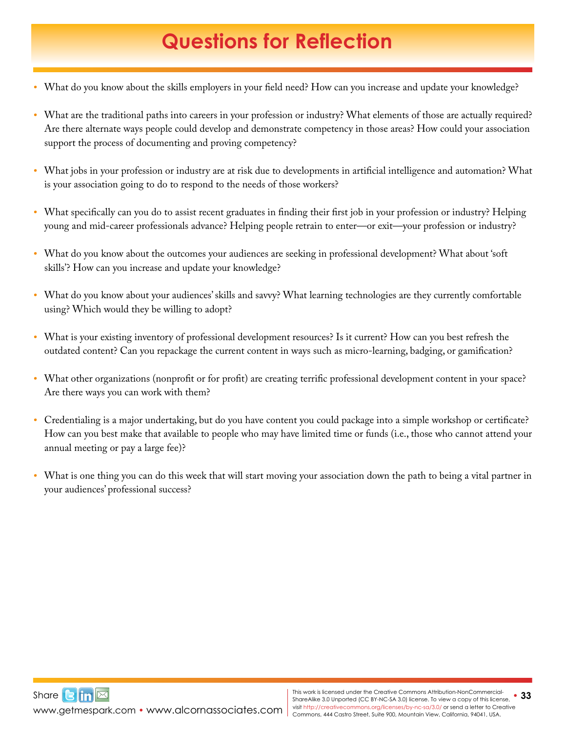# **Questions for Reflection**

- <span id="page-32-0"></span>*•* What do you know about the skills employers in your field need? How can you increase and update your knowledge?
- What are the traditional paths into careers in your profession or industry? What elements of those are actually required? Are there alternate ways people could develop and demonstrate competency in those areas? How could your association support the process of documenting and proving competency?
- *•* What jobs in your profession or industry are at risk due to developments in artificial intelligence and automation? What is your association going to do to respond to the needs of those workers?
- *•* What specifically can you do to assist recent graduates in finding their first job in your profession or industry? Helping young and mid-career professionals advance? Helping people retrain to enter—or exit—your profession or industry?
- *•* What do you know about the outcomes your audiences are seeking in professional development? What about 'soft skills'? How can you increase and update your knowledge?
- *•* What do you know about your audiences' skills and savvy? What learning technologies are they currently comfortable using? Which would they be willing to adopt?
- *•* What is your existing inventory of professional development resources? Is it current? How can you best refresh the outdated content? Can you repackage the current content in ways such as micro-learning, badging, or gamification?
- What other organizations (nonprofit or for profit) are creating terrific professional development content in your space? Are there ways you can work with them?
- *•* Credentialing is a major undertaking, but do you have content you could package into a simple workshop or certificate? How can you best make that available to people who may have limited time or funds (i.e., those who cannot attend your annual meeting or pay a large fee)?
- *•* What is one thing you can do this week that will start moving your association down the path to being a vital partner in your audiences' professional success?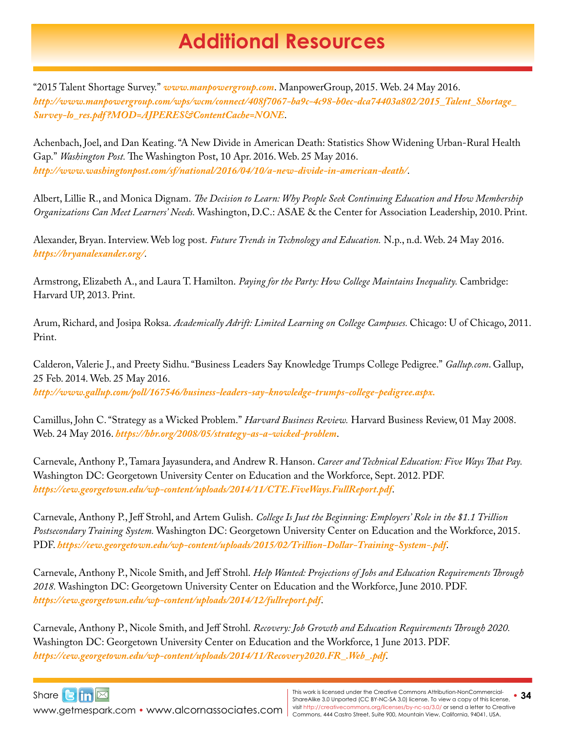## **Additional Resources**

<span id="page-33-0"></span>"2015 Talent Shortage Survey." *[www.manpowergroup.com](http://www.manpowergroup.com)*. ManpowerGroup, 2015. Web. 24 May 2016. *[http://www.manpowergroup.com/wps/wcm/connect/408f7067-ba9c-4c98-b0ec-dca74403a802/2015\\_Talent\\_Shortage\\_](http://www.manpowergroup.com/wps/wcm/connect/408f7067-ba9c-4c98-b0ec-dca74403a802/2015_Talent_Shortage_Survey-lo_res.pdf?MOD=AJPERES&ContentCache=NONE) [Survey-lo\\_res.pdf?MOD=AJPERES&ContentCache=NONE](http://www.manpowergroup.com/wps/wcm/connect/408f7067-ba9c-4c98-b0ec-dca74403a802/2015_Talent_Shortage_Survey-lo_res.pdf?MOD=AJPERES&ContentCache=NONE)*.

Achenbach, Joel, and Dan Keating. "A New Divide in American Death: Statistics Show Widening Urban-Rural Health Gap." *Washington Post.* The Washington Post, 10 Apr. 2016. Web. 25 May 2016. *<http://www.washingtonpost.com/sf/national/2016/04/10/a-new-divide-in-american-death/>*.

Albert, Lillie R., and Monica Dignam. *The Decision to Learn: Why People Seek Continuing Education and How Membership Organizations Can Meet Learners' Needs.* Washington, D.C.: ASAE & the Center for Association Leadership, 2010. Print.

Alexander, Bryan. Interview. Web log post. *Future Trends in Technology and Education.* N.p., n.d. Web. 24 May 2016. *<https://bryanalexander.org/>*.

Armstrong, Elizabeth A., and Laura T. Hamilton. *Paying for the Party: How College Maintains Inequality.* Cambridge: Harvard UP, 2013. Print.

Arum, Richard, and Josipa Roksa. *Academically Adrift: Limited Learning on College Campuses.* Chicago: U of Chicago, 2011. Print.

Calderon, Valerie J., and Preety Sidhu. "Business Leaders Say Knowledge Trumps College Pedigree." *[Gallup.com](http://Gallup.com)*. Gallup, 25 Feb. 2014. Web. 25 May 2016. *<http://www.gallup.com/poll/167546/business-leaders-say-knowledge-trumps-college-pedigree.aspx>.*

Camillus, John C. "Strategy as a Wicked Problem." *Harvard Business Review.* Harvard Business Review, 01 May 2008. Web. 24 May 2016. *<https://hbr.org/2008/05/strategy-as-a-wicked-problem>*.

Carnevale, Anthony P., Tamara Jayasundera, and Andrew R. Hanson. *Career and Technical Education: Five Ways That Pay.*  Washington DC: Georgetown University Center on Education and the Workforce, Sept. 2012. PDF. *<https://cew.georgetown.edu/wp-content/uploads/2014/11/CTE.FiveWays.FullReport.pdf>*.

Carnevale, Anthony P., Jeff Strohl, and Artem Gulish. *College Is Just the Beginning: Employers' Role in the \$1.1 Trillion Postsecondary Training System.* Washington DC: Georgetown University Center on Education and the Workforce, 2015. PDF. *<https://cew.georgetown.edu/wp-content/uploads/2015/02/Trillion-Dollar-Training-System-.pdf>*.

Carnevale, Anthony P., Nicole Smith, and Jeff Strohl. *Help Wanted: Projections of Jobs and Education Requirements Through 2018.* Washington DC: Georgetown University Center on Education and the Workforce, June 2010. PDF. *<https://cew.georgetown.edu/wp-content/uploads/2014/12/fullreport.pdf>*.

Carnevale, Anthony P., Nicole Smith, and Jeff Strohl. *Recovery: Job Growth and Education Requirements Through 2020.*  Washington DC: Georgetown University Center on Education and the Workforce, 1 June 2013. PDF. *[https://cew.georgetown.edu/wp-content/uploads/2014/11/Recovery2020.FR\\_.Web\\_.pdf](https://cew.georgetown.edu/wp-content/uploads/2014/11/Recovery2020.FR_.Web_.pdf)*.

Share**Bin** 

WWW.getmespark.com • [www.alcornassociates.com](http://www.alcornassociates.com) | visit http://creativecommons.org/licenses/by-nc-sa/3.0/ or send a letter to Cre<br>Commons, 444 Castro Street, Suite 900, Mountain View, California, 94041, USA.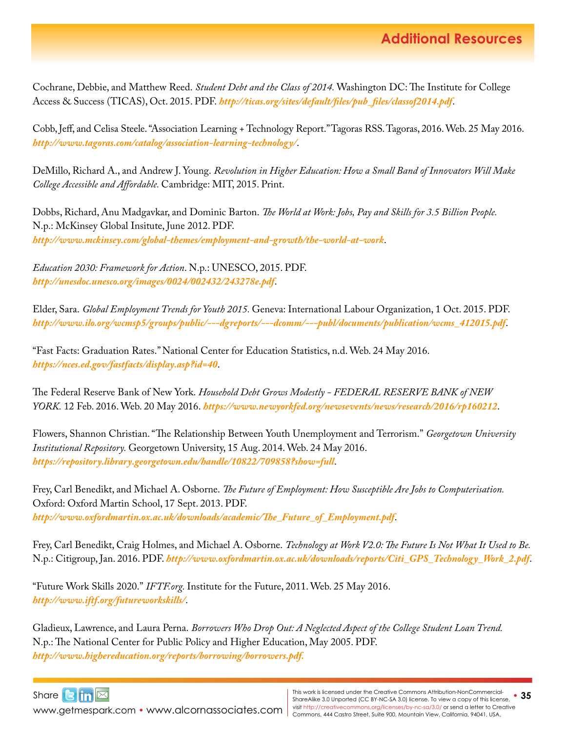Cochrane, Debbie, and Matthew Reed. *Student Debt and the Class of 2014.* Washington DC: The Institute for College Access & Success (TICAS), Oct. 2015. PDF. *[http://ticas.org/sites/default/files/pub\\_files/classof2014.pdf](http://ticas.org/sites/default/files/pub_files/classof2014.pdf)*.

Cobb, Jeff, and Celisa Steele. "Association Learning + Technology Report." Tagoras RSS. Tagoras, 2016. Web. 25 May 2016. *<http://www.tagoras.com/catalog/association-learning-technology/>*.

DeMillo, Richard A., and Andrew J. Young. *Revolution in Higher Education: How a Small Band of Innovators Will Make College Accessible and Affordable.* Cambridge: MIT, 2015. Print.

Dobbs, Richard, Anu Madgavkar, and Dominic Barton. *The World at Work: Jobs, Pay and Skills for 3.5 Billion People.*  N.p.: McKinsey Global Insitute, June 2012. PDF. *<http://www.mckinsey.com/global-themes/employment-and-growth/the-world-at-work>*.

*Education 2030: Framework for Action*. N.p.: UNESCO, 2015. PDF. *<http://unesdoc.unesco.org/images/0024/002432/243278e.pdf>*.

Elder, Sara. *Global Employment Trends for Youth 2015.* Geneva: International Labour Organization, 1 Oct. 2015. PDF. *[http://www.ilo.org/wcmsp5/groups/public/---dgreports/---dcomm/---publ/documents/publication/wcms\\_412015.pdf](http://www.ilo.org/wcmsp5/groups/public/---dgreports/---dcomm/---publ/documents/publication/wcms_412015.pdf)*.

"Fast Facts: Graduation Rates." National Center for Education Statistics, n.d. Web. 24 May 2016. *<https://nces.ed.gov/fastfacts/display.asp?id=40>*.

The Federal Reserve Bank of New York. *Household Debt Grows Modestly - FEDERAL RESERVE BANK of NEW YORK.* 12 Feb. 2016. Web. 20 May 2016. *<https://www.newyorkfed.org/newsevents/news/research/2016/rp160212>*.

Flowers, Shannon Christian. "The Relationship Between Youth Unemployment and Terrorism." *Georgetown University Institutional Repository.* Georgetown University, 15 Aug. 2014. Web. 24 May 2016. *<https://repository.library.georgetown.edu/handle/10822/709858?show=full>*.

Frey, Carl Benedikt, and Michael A. Osborne. *The Future of Employment: How Susceptible Are Jobs to Computerisation.*  Oxford: Oxford Martin School, 17 Sept. 2013. PDF. *[http://www.oxfordmartin.ox.ac.uk/downloads/academic/The\\_Future\\_of\\_Employment.pdf](http://www.oxfordmartin.ox.ac.uk/downloads/academic/The_Future_of_Employment.pdf)*.

Frey, Carl Benedikt, Craig Holmes, and Michael A. Osborne. *Technology at Work V2.0: The Future Is Not What It Used to Be.*  N.p.: Citigroup, Jan. 2016. PDF. *[http://www.oxfordmartin.ox.ac.uk/downloads/reports/Citi\\_GPS\\_Technology\\_Work\\_2.pdf](http://www.oxfordmartin.ox.ac.uk/downloads/reports/Citi_GPS_Technology_Work_2.pdf)*.

"Future Work Skills 2020." *[IFTF.org](http://IFTF.org).* Institute for the Future, 2011. Web. 25 May 2016. *<http://www.iftf.org/futureworkskills/>*.

Gladieux, Lawrence, and Laura Perna. *Borrowers Who Drop Out: A Neglected Aspect of the College Student Loan Trend.*  N.p.: The National Center for Public Policy and Higher Education, May 2005. PDF. *<http://www.highereducation.org/reports/borrowing/borrowers.pdf>.*



[www.getmespark.com](http://www.getmespark.com) • [www.alcornassociates.com](http://www.alcornassociates.com)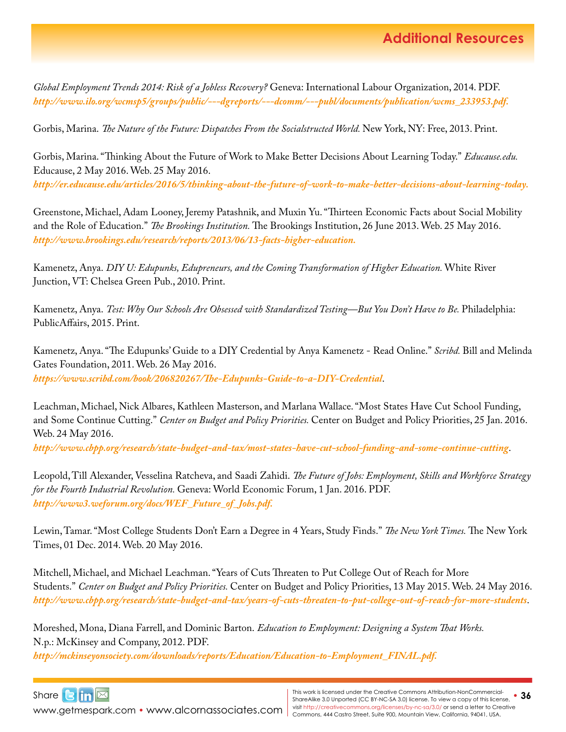*Global Employment Trends 2014: Risk of a Jobless Recovery?* Geneva: International Labour Organization, 2014. PDF. *[http://www.ilo.org/wcmsp5/groups/public/---dgreports/---dcomm/---publ/documents/publication/wcms\\_233953.pdf.](http://www.ilo.org/wcmsp5/groups/public/---dgreports/---dcomm/---publ/documents/publication/wcms_233953.pdf)*

Gorbis, Marina. *The Nature of the Future: Dispatches From the Socialstructed World*. New York, NY: Free, 2013. Print.

Gorbis, Marina. "Thinking About the Future of Work to Make Better Decisions About Learning Today." *[Educause.edu.](http://Educause.edu)*  Educause, 2 May 2016. Web. 25 May 2016. *<http://er.educause.edu/articles/2016/5/thinking-about-the-future-of-work-to-make-better-decisions-about-learning-today>.*

Greenstone, Michael, Adam Looney, Jeremy Patashnik, and Muxin Yu. "Thirteen Economic Facts about Social Mobility and the Role of Education." *The Brookings Institution.* The Brookings Institution, 26 June 2013. Web. 25 May 2016. *<http://www.brookings.edu/research/reports/2013/06/13-facts-higher-education>.*

Kamenetz, Anya. *DIY U: Edupunks, Edupreneurs, and the Coming Transformation of Higher Education.* White River Junction, VT: Chelsea Green Pub., 2010. Print.

Kamenetz, Anya. *Test: Why Our Schools Are Obsessed with Standardized Testing—But You Don't Have to Be*. Philadelphia: PublicAffairs, 2015. Print.

Kamenetz, Anya. "The Edupunks' Guide to a DIY Credential by Anya Kamenetz - Read Online." *Scribd.* Bill and Melinda Gates Foundation, 2011. Web. 26 May 2016. *<https://www.scribd.com/book/206820267/The-Edupunks-Guide-to-a-DIY-Credential>*.

Leachman, Michael, Nick Albares, Kathleen Masterson, and Marlana Wallace. "Most States Have Cut School Funding, and Some Continue Cutting." *Center on Budget and Policy Priorities.* Center on Budget and Policy Priorities, 25 Jan. 2016. Web. 24 May 2016.

*<http://www.cbpp.org/research/state-budget-and-tax/most-states-have-cut-school-funding-and-some-continue-cutting>*.

Leopold, Till Alexander, Vesselina Ratcheva, and Saadi Zahidi. *The Future of Jobs: Employment, Skills and Workforce Strategy for the Fourth Industrial Revolution.* Geneva: World Economic Forum, 1 Jan. 2016. PDF. *[http://www3.weforum.org/docs/WEF\\_Future\\_of\\_Jobs.pdf](http://www3.weforum.org/docs/WEF_Future_of_Jobs.pdf).*

Lewin, Tamar. "Most College Students Don't Earn a Degree in 4 Years, Study Finds." *The New York Times.* The New York Times, 01 Dec. 2014. Web. 20 May 2016.

Mitchell, Michael, and Michael Leachman. "Years of Cuts Threaten to Put College Out of Reach for More Students." *Center on Budget and Policy Priorities.* Center on Budget and Policy Priorities, 13 May 2015. Web. 24 May 2016. *<http://www.cbpp.org/research/state-budget-and-tax/years-of-cuts-threaten-to-put-college-out-of-reach-for-more-students>*.

Moreshed, Mona, Diana Farrell, and Dominic Barton. *Education to Employment: Designing a System That Works.*  N.p.: McKinsey and Company, 2012. PDF. *[http://mckinseyonsociety.com/downloads/reports/Education/Education-to-Employment\\_FINAL.pdf](http://mckinseyonsociety.com/downloads/reports/Education/Education-to-Employment_FINAL.pdf).*



[www.getmespark.com](http://www.getmespark.com) • [www.alcornassociates.com](http://www.alcornassociates.com)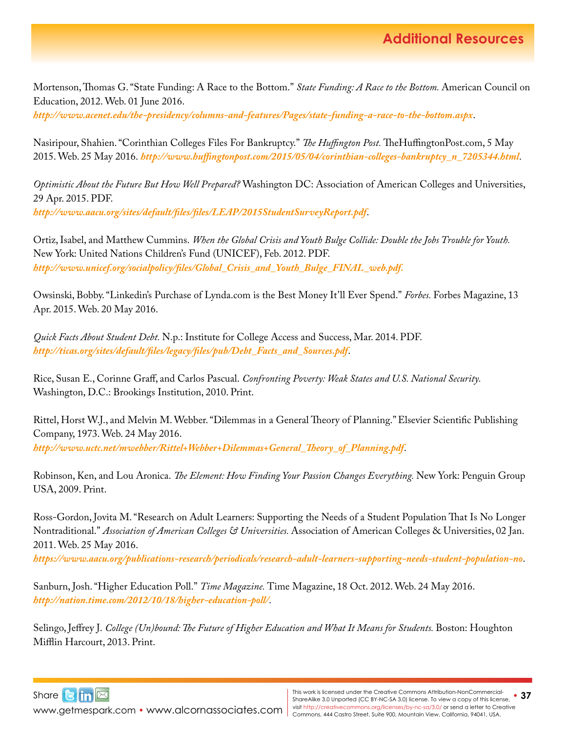Mortenson, Thomas G. "State Funding: A Race to the Bottom." *State Funding: A Race to the Bottom.* American Council on Education, 2012. Web. 01 June 2016.

*<http://www.acenet.edu/the-presidency/columns-and-features/Pages/state-funding-a-race-to-the-bottom.aspx>*.

Nasiripour, Shahien. "Corinthian Colleges Files For Bankruptcy." *The Huffington Post.* [TheHuffingtonPost.com](http://TheHuffingtonPost.com), 5 May 2015. Web. 25 May 2016. *[http://www.huffingtonpost.com/2015/05/04/corinthian-colleges-bankruptcy\\_n\\_7205344.html](http://www.huffingtonpost.com/2015/05/04/corinthian-colleges-bankruptcy_n_7205344.html)*.

*Optimistic About the Future But How Well Prepared?* Washington DC: Association of American Colleges and Universities, 29 Apr. 2015. PDF. *<http://www.aacu.org/sites/default/files/files/LEAP/2015StudentSurveyReport.pdf>*.

Ortiz, Isabel, and Matthew Cummins. *When the Global Crisis and Youth Bulge Collide: Double the Jobs Trouble for Youth.*  New York: United Nations Children's Fund (UNICEF), Feb. 2012. PDF. *[http://www.unicef.org/socialpolicy/files/Global\\_Crisis\\_and\\_Youth\\_Bulge\\_FINAL\\_web.pdf.](http://www.unicef.org/socialpolicy/files/Global_Crisis_and_Youth_Bulge_FINAL_web.pdf)*

Owsinski, Bobby. "Linkedin's Purchase of [Lynda.com](http://Lynda.com) is the Best Money It'll Ever Spend." *Forbes.* Forbes Magazine, 13 Apr. 2015. Web. 20 May 2016.

*Quick Facts About Student Debt.* N.p.: Institute for College Access and Success, Mar. 2014. PDF. *[http://ticas.org/sites/default/files/legacy/files/pub/Debt\\_Facts\\_and\\_Sources.pdf](http://ticas.org/sites/default/files/legacy/files/pub/Debt_Facts_and_Sources.pdf)*.

Rice, Susan E., Corinne Graff, and Carlos Pascual. *Confronting Poverty: Weak States and U.S. National Security.*  Washington, D.C.: Brookings Institution, 2010. Print.

Rittel, Horst W.J., and Melvin M. Webber. "Dilemmas in a General Theory of Planning." Elsevier Scientific Publishing Company, 1973. Web. 24 May 2016. *[http://www.uctc.net/mwebber/Rittel+Webber+Dilemmas+General\\_Theory\\_of\\_Planning.pdf](http://www.uctc.net/mwebber/Rittel+Webber+Dilemmas+General_Theory_of_Planning.pdf)*.

Robinson, Ken, and Lou Aronica. *The Element: How Finding Your Passion Changes Everything.* New York: Penguin Group USA, 2009. Print.

Ross-Gordon, Jovita M. "Research on Adult Learners: Supporting the Needs of a Student Population That Is No Longer Nontraditional." *Association of American Colleges & Universities.* Association of American Colleges & Universities, 02 Jan. 2011. Web. 25 May 2016.

*<https://www.aacu.org/publications-research/periodicals/research-adult-learners-supporting-needs-student-population-no>*.

Sanburn, Josh. "Higher Education Poll." *Time Magazine.* Time Magazine, 18 Oct. 2012. Web. 24 May 2016. *<http://nation.time.com/2012/10/18/higher-education-poll/>*.

Selingo, Jeffrey J. *College (Un)bound: The Future of Higher Education and What It Means for Students.* Boston: Houghton Mifflin Harcourt, 2013. Print.



[www.getmespark.com](http://www.getmespark.com) • [www.alcornassociates.com](http://www.alcornassociates.com)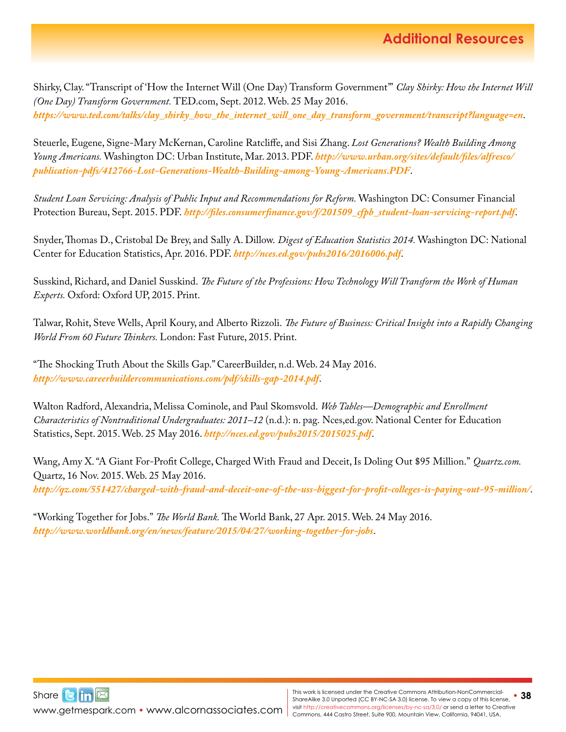Shirky, Clay. "Transcript of 'How the Internet Will (One Day) Transform Government'" *Clay Shirky: How the Internet Will (One Day) Transform Government.* [TED.com](http://TED.com), Sept. 2012. Web. 25 May 2016. *[https://www.ted.com/talks/clay\\_shirky\\_how\\_the\\_internet\\_will\\_one\\_day\\_transform\\_government/transcript?language=en](https://www.ted.com/talks/clay_shirky_how_the_internet_will_one_day_transform_government/transcript?language=en)*.

Steuerle, Eugene, Signe-Mary McKernan, Caroline Ratcliffe, and Sisi Zhang. *Lost Generations? Wealth Building Among Young Americans.* Washington DC: Urban Institute, Mar. 2013. PDF. *[http://www.urban.org/sites/default/files/alfresco/](http://www.urban.org/sites/default/files/alfresco/publication-pdfs/412766-Lost-Generations-Wealth-Building-among-Young-Americans.PDF) [publication-pdfs/412766-Lost-Generations-Wealth-Building-among-Young-Americans.PDF](http://www.urban.org/sites/default/files/alfresco/publication-pdfs/412766-Lost-Generations-Wealth-Building-among-Young-Americans.PDF)*.

*Student Loan Servicing: Analysis of Public Input and Recommendations for Reform.* Washington DC: Consumer Financial Protection Bureau, Sept. 2015. PDF. *[http://files.consumerfinance.gov/f/201509\\_cfpb\\_student-loan-servicing-report.pdf](http://files.consumerfinance.gov/f/201509_cfpb_student-loan-servicing-report.pdf)*.

Snyder, Thomas D., Cristobal De Brey, and Sally A. Dillow. *Digest of Education Statistics 2014.* Washington DC: National Center for Education Statistics, Apr. 2016. PDF. *<http://nces.ed.gov/pubs2016/2016006.pdf>*.

Susskind, Richard, and Daniel Susskind. *The Future of the Professions: How Technology Will Transform the Work of Human Experts.* Oxford: Oxford UP, 2015. Print.

Talwar, Rohit, Steve Wells, April Koury, and Alberto Rizzoli. *The Future of Business: Critical Insight into a Rapidly Changing World From 60 Future Thinkers.* London: Fast Future, 2015. Print.

"The Shocking Truth About the Skills Gap." CareerBuilder, n.d. Web. 24 May 2016. *<http://www.careerbuildercommunications.com/pdf/skills-gap-2014.pdf>*.

Walton Radford, Alexandria, Melissa Cominole, and Paul Skomsvold. *Web Tables—Demographic and Enrollment Characteristics of Nontraditional Undergraduates: 2011–12* (n.d.): n. pag. Nces[,ed.gov](http://ed.gov). National Center for Education Statistics, Sept. 2015. Web. 25 May 2016. *<http://nces.ed.gov/pubs2015/2015025.pdf>*.

Wang, Amy X. "A Giant For-Profit College, Charged With Fraud and Deceit, Is Doling Out \$95 Million." *[Quartz.com.](http://Quartz.com)*  Quartz, 16 Nov. 2015. Web. 25 May 2016. *<http://qz.com/551427/charged-with-fraud-and-deceit-one-of-the-uss-biggest-for-profit-colleges-is-paying-out-95-million/>*.

"Working Together for Jobs." *The World Bank.* The World Bank, 27 Apr. 2015. Web. 24 May 2016. *<http://www.worldbank.org/en/news/feature/2015/04/27/working-together-for-jobs>*.

Share**Bin** [www.getmespark.com](http://www.getmespark.com) • [www.alcornassociates.com](http://www.alcornassociates.com)